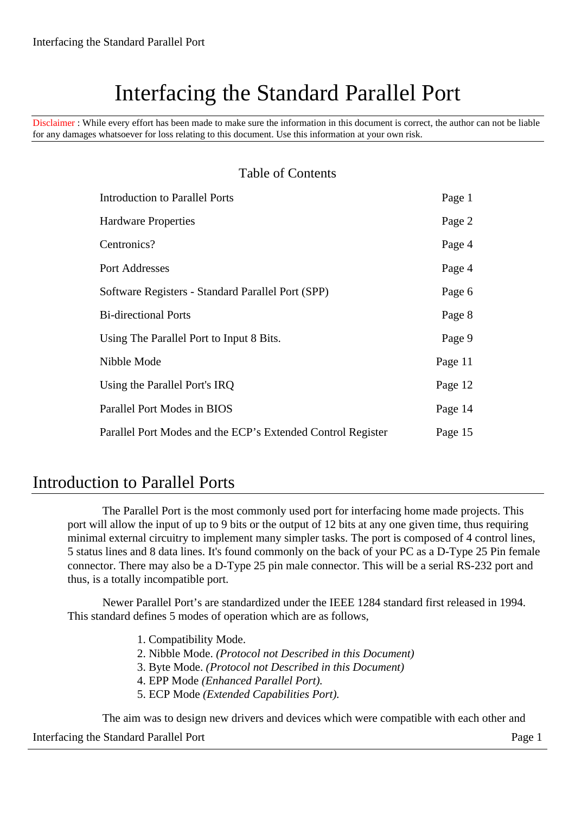## Interfacing the Standard Parallel Port

Disclaimer : While every effort has been made to make sure the information in this document is correct, the author can not be liable for any damages whatsoever for loss relating to this document. Use this information at your own risk.

## Table of Contents

| <b>Introduction to Parallel Ports</b>                       | Page 1  |
|-------------------------------------------------------------|---------|
| <b>Hardware Properties</b>                                  | Page 2  |
| Centronics?                                                 | Page 4  |
| Port Addresses                                              | Page 4  |
| Software Registers - Standard Parallel Port (SPP)           | Page 6  |
| <b>Bi-directional Ports</b>                                 | Page 8  |
| Using The Parallel Port to Input 8 Bits.                    | Page 9  |
| Nibble Mode                                                 | Page 11 |
| Using the Parallel Port's IRQ                               | Page 12 |
| Parallel Port Modes in BIOS                                 | Page 14 |
| Parallel Port Modes and the ECP's Extended Control Register | Page 15 |

## Introduction to Parallel Ports

The Parallel Port is the most commonly used port for interfacing home made projects. This port will allow the input of up to 9 bits or the output of 12 bits at any one given time, thus requiring minimal external circuitry to implement many simpler tasks. The port is composed of 4 control lines, 5 status lines and 8 data lines. It's found commonly on the back of your PC as a D-Type 25 Pin female connector. There may also be a D-Type 25 pin male connector. This will be a serial RS-232 port and thus, is a totally incompatible port.

Newer Parallel Port's are standardized under the IEEE 1284 standard first released in 1994. This standard defines 5 modes of operation which are as follows,

1. Compatibility Mode.

2. Nibble Mode. *(Protocol not Described in this Document)*

3. Byte Mode. *(Protocol not Described in this Document)*

4. EPP Mode *(Enhanced Parallel Port).*

5. ECP Mode *(Extended Capabilities Port).*

Interfacing the Standard Parallel Port Page 1 The aim was to design new drivers and devices which were compatible with each other and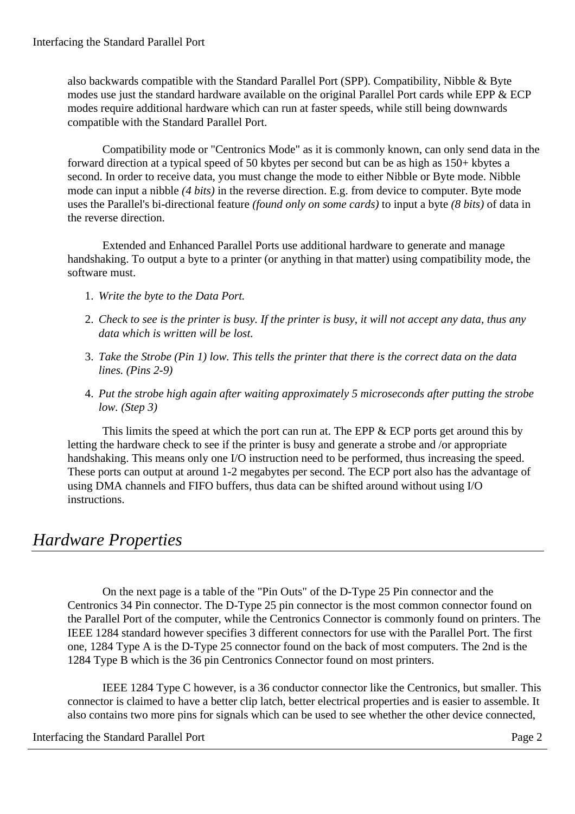also backwards compatible with the Standard Parallel Port (SPP). Compatibility, Nibble & Byte modes use just the standard hardware available on the original Parallel Port cards while EPP & ECP modes require additional hardware which can run at faster speeds, while still being downwards compatible with the Standard Parallel Port.

Compatibility mode or "Centronics Mode" as it is commonly known, can only send data in the forward direction at a typical speed of 50 kbytes per second but can be as high as 150+ kbytes a second. In order to receive data, you must change the mode to either Nibble or Byte mode. Nibble mode can input a nibble *(4 bits)* in the reverse direction. E.g. from device to computer. Byte mode uses the Parallel's bi-directional feature *(found only on some cards)* to input a byte *(8 bits)* of data in the reverse direction.

Extended and Enhanced Parallel Ports use additional hardware to generate and manage handshaking. To output a byte to a printer (or anything in that matter) using compatibility mode, the software must.

- 1. *Write the byte to the Data Port.*
- 2. *Check to see is the printer is busy. If the printer is busy, it will not accept any data, thus any data which is written will be lost.*
- 3. *Take the Strobe (Pin 1) low. This tells the printer that there is the correct data on the data lines. (Pins 2-9)*
- 4. *Put the strobe high again after waiting approximately 5 microseconds after putting the strobe low. (Step 3)*

This limits the speed at which the port can run at. The EPP & ECP ports get around this by letting the hardware check to see if the printer is busy and generate a strobe and /or appropriate handshaking. This means only one I/O instruction need to be performed, thus increasing the speed. These ports can output at around 1-2 megabytes per second. The ECP port also has the advantage of using DMA channels and FIFO buffers, thus data can be shifted around without using I/O instructions.

## *Hardware Properties*

On the next page is a table of the "Pin Outs" of the D-Type 25 Pin connector and the Centronics 34 Pin connector. The D-Type 25 pin connector is the most common connector found on the Parallel Port of the computer, while the Centronics Connector is commonly found on printers. The IEEE 1284 standard however specifies 3 different connectors for use with the Parallel Port. The first one, 1284 Type A is the D-Type 25 connector found on the back of most computers. The 2nd is the 1284 Type B which is the 36 pin Centronics Connector found on most printers.

IEEE 1284 Type C however, is a 36 conductor connector like the Centronics, but smaller. This connector is claimed to have a better clip latch, better electrical properties and is easier to assemble. It also contains two more pins for signals which can be used to see whether the other device connected,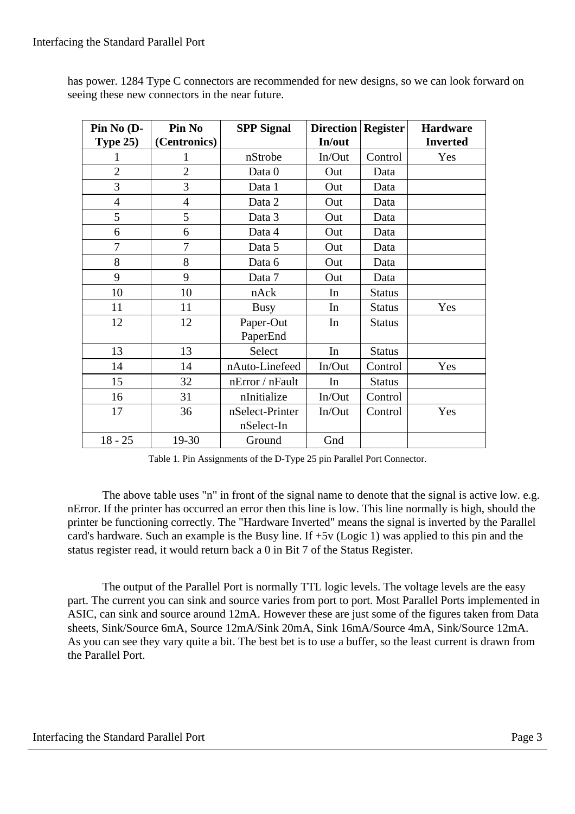| Pin No (D-     | Pin No         | <b>SPP Signal</b> | <b>Direction   Register</b> |               | <b>Hardware</b> |
|----------------|----------------|-------------------|-----------------------------|---------------|-----------------|
| Type $25)$     | (Centronics)   |                   | In/out                      |               | <b>Inverted</b> |
| 1              | 1              | nStrobe           | In/Out                      | Control       | Yes             |
| $\overline{2}$ | $\overline{2}$ | Data 0            | Out                         | Data          |                 |
| 3              | 3              | Data 1            | Out                         | Data          |                 |
| $\overline{4}$ | $\overline{4}$ | Data 2            | Out                         | Data          |                 |
| 5              | 5              | Data 3            | Out                         | Data          |                 |
| 6              | 6              | Data 4            | Out                         | Data          |                 |
| 7              | 7              | Data 5            | Out                         | Data          |                 |
| 8              | 8              | Data 6            | Out                         | Data          |                 |
| 9              | 9              | Data 7            | Out                         | Data          |                 |
| 10             | 10             | nAck              | In                          | <b>Status</b> |                 |
| 11             | 11             | <b>Busy</b>       | In                          | <b>Status</b> | Yes             |
| 12             | 12             | Paper-Out         | In                          | <b>Status</b> |                 |
|                |                | PaperEnd          |                             |               |                 |
| 13             | 13             | Select            | In                          | <b>Status</b> |                 |
| 14             | 14             | nAuto-Linefeed    | In/Out                      | Control       | Yes             |
| 15             | 32             | nError / nFault   | In                          | <b>Status</b> |                 |
| 16             | 31             | nInitialize       | In/Out                      | Control       |                 |
| 17             | 36             | nSelect-Printer   | In/Out                      | Control       | Yes             |
|                |                | nSelect-In        |                             |               |                 |
| $18 - 25$      | 19-30          | Ground            | Gnd                         |               |                 |

has power. 1284 Type C connectors are recommended for new designs, so we can look forward on seeing these new connectors in the near future.

Table 1. Pin Assignments of the D-Type 25 pin Parallel Port Connector.

The above table uses "n" in front of the signal name to denote that the signal is active low. e.g. nError. If the printer has occurred an error then this line is low. This line normally is high, should the printer be functioning correctly. The "Hardware Inverted" means the signal is inverted by the Parallel card's hardware. Such an example is the Busy line. If +5v (Logic 1) was applied to this pin and the status register read, it would return back a 0 in Bit 7 of the Status Register.

The output of the Parallel Port is normally TTL logic levels. The voltage levels are the easy part. The current you can sink and source varies from port to port. Most Parallel Ports implemented in ASIC, can sink and source around 12mA. However these are just some of the figures taken from Data sheets, Sink/Source 6mA, Source 12mA/Sink 20mA, Sink 16mA/Source 4mA, Sink/Source 12mA. As you can see they vary quite a bit. The best bet is to use a buffer, so the least current is drawn from the Parallel Port.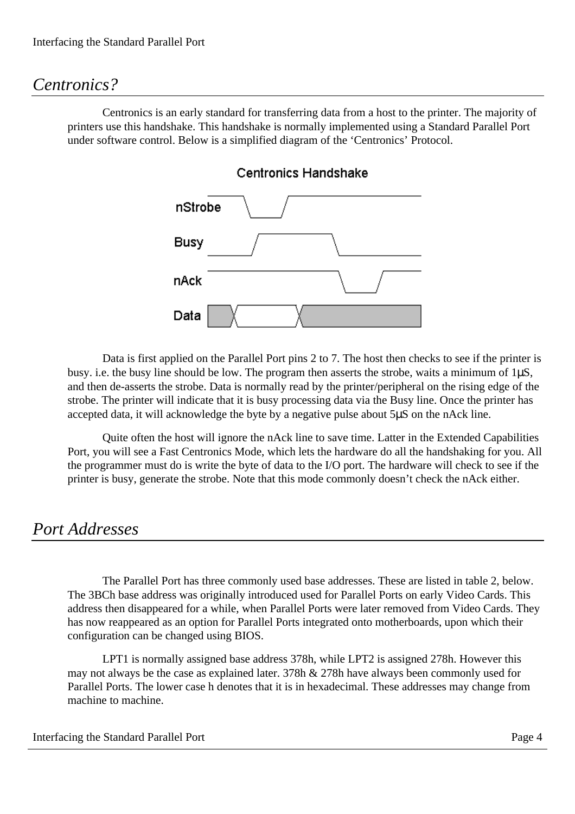## *Centronics?*

Centronics is an early standard for transferring data from a host to the printer. The majority of printers use this handshake. This handshake is normally implemented using a Standard Parallel Port under software control. Below is a simplified diagram of the 'Centronics' Protocol.



#### **Centronics Handshake**

Data is first applied on the Parallel Port pins 2 to 7. The host then checks to see if the printer is busy. i.e. the busy line should be low. The program then asserts the strobe, waits a minimum of 1μS, and then de-asserts the strobe. Data is normally read by the printer/peripheral on the rising edge of the strobe. The printer will indicate that it is busy processing data via the Busy line. Once the printer has accepted data, it will acknowledge the byte by a negative pulse about 5μS on the nAck line.

Quite often the host will ignore the nAck line to save time. Latter in the Extended Capabilities Port, you will see a Fast Centronics Mode, which lets the hardware do all the handshaking for you. All the programmer must do is write the byte of data to the I/O port. The hardware will check to see if the printer is busy, generate the strobe. Note that this mode commonly doesn't check the nAck either.

## *Port Addresses*

The Parallel Port has three commonly used base addresses. These are listed in table 2, below. The 3BCh base address was originally introduced used for Parallel Ports on early Video Cards. This address then disappeared for a while, when Parallel Ports were later removed from Video Cards. They has now reappeared as an option for Parallel Ports integrated onto motherboards, upon which their configuration can be changed using BIOS.

LPT1 is normally assigned base address 378h, while LPT2 is assigned 278h. However this may not always be the case as explained later. 378h & 278h have always been commonly used for Parallel Ports. The lower case h denotes that it is in hexadecimal. These addresses may change from machine to machine.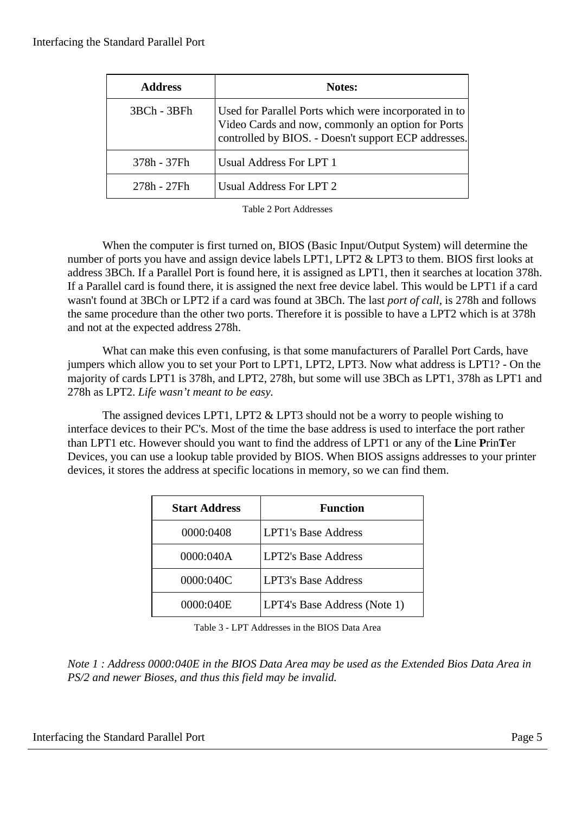| <b>Address</b> | <b>Notes:</b>                                                                                                                                                      |
|----------------|--------------------------------------------------------------------------------------------------------------------------------------------------------------------|
| 3BCh - 3BFh    | Used for Parallel Ports which were incorporated in to<br>Video Cards and now, commonly an option for Ports<br>controlled by BIOS. - Doesn't support ECP addresses. |
| 378h - 37Fh    | <b>Usual Address For LPT 1</b>                                                                                                                                     |
| 278h - 27Fh    | <b>Usual Address For LPT 2</b>                                                                                                                                     |

Table 2 Port Addresses

When the computer is first turned on, BIOS (Basic Input/Output System) will determine the number of ports you have and assign device labels LPT1, LPT2 & LPT3 to them. BIOS first looks at address 3BCh. If a Parallel Port is found here, it is assigned as LPT1, then it searches at location 378h. If a Parallel card is found there, it is assigned the next free device label. This would be LPT1 if a card wasn't found at 3BCh or LPT2 if a card was found at 3BCh. The last *port of call*, is 278h and follows the same procedure than the other two ports. Therefore it is possible to have a LPT2 which is at 378h and not at the expected address 278h.

What can make this even confusing, is that some manufacturers of Parallel Port Cards, have jumpers which allow you to set your Port to LPT1, LPT2, LPT3. Now what address is LPT1? - On the majority of cards LPT1 is 378h, and LPT2, 278h, but some will use 3BCh as LPT1, 378h as LPT1 and 278h as LPT2. *Life wasn't meant to be easy.*

The assigned devices LPT1, LPT2 & LPT3 should not be a worry to people wishing to interface devices to their PC's. Most of the time the base address is used to interface the port rather than LPT1 etc. However should you want to find the address of LPT1 or any of the **L**ine **P**rin**T**er Devices, you can use a lookup table provided by BIOS. When BIOS assigns addresses to your printer devices, it stores the address at specific locations in memory, so we can find them.

| <b>Start Address</b> | <b>Function</b>              |
|----------------------|------------------------------|
| 0000:0408            | <b>LPT1's Base Address</b>   |
| 0000:040A            | <b>LPT2's Base Address</b>   |
| 0000:040C            | <b>LPT3's Base Address</b>   |
| 0000:040E            | LPT4's Base Address (Note 1) |

Table 3 - LPT Addresses in the BIOS Data Area

*Note 1 : Address 0000:040E in the BIOS Data Area may be used as the Extended Bios Data Area in PS/2 and newer Bioses, and thus this field may be invalid.*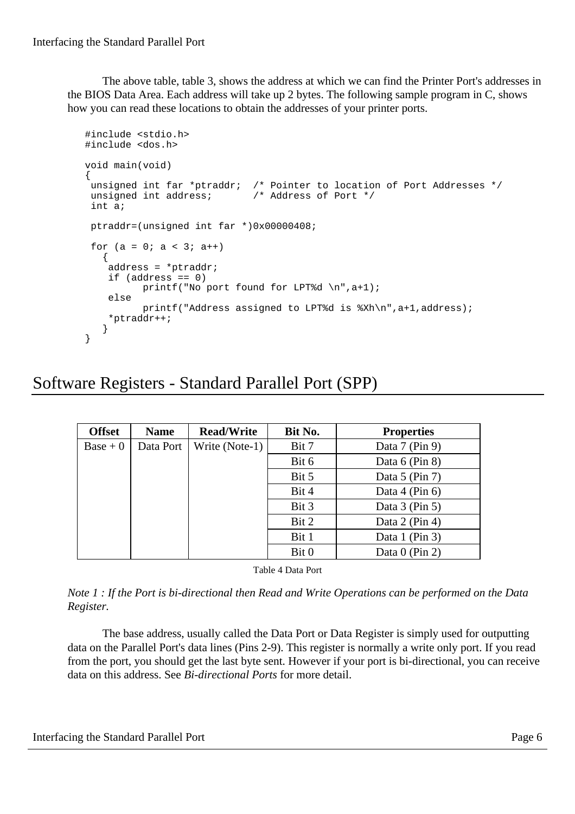The above table, table 3, shows the address at which we can find the Printer Port's addresses in the BIOS Data Area. Each address will take up 2 bytes. The following sample program in C, shows how you can read these locations to obtain the addresses of your printer ports.

```
#include <stdio.h>
#include <dos.h>
void main(void)
{
 unsigned int far *ptraddr; /* Pointer to location of Port Addresses */
 unsigned int address; \overline{\phantom{a}} /* Address of Port */
  int a;
  ptraddr=(unsigned int far *)0x00000408;
 for (a = 0; a < 3; a++) {
     address = *ptraddr;
    if (address == 0) printf("No port found for LPT%d \n",a+1);
     else
           printf("Address assigned to LPT%d is %Xh\n",a+1,address);
     *ptraddr++;
    }
}
```
## Software Registers - Standard Parallel Port (SPP)

| <b>Offset</b> | <b>Name</b> | <b>Read/Write</b> | Bit No. | <b>Properties</b>   |
|---------------|-------------|-------------------|---------|---------------------|
| $Base + 0$    | Data Port   | Write (Note-1)    | Bit 7   | Data $7$ (Pin 9)    |
|               |             |                   | Bit 6   | Data $6$ (Pin 8)    |
|               |             |                   | Bit 5   | Data $5$ (Pin 7)    |
|               |             |                   | Bit 4   | Data $4$ (Pin 6)    |
|               |             |                   | Bit 3   | Data $3$ (Pin $5$ ) |
|               |             |                   | Bit 2   | Data $2$ (Pin 4)    |
|               |             |                   | Bit 1   | Data $1$ (Pin 3)    |
|               |             |                   | Bit 0   | Data $0$ (Pin 2)    |

Table 4 Data Port

*Note 1 : If the Port is bi-directional then Read and Write Operations can be performed on the Data Register.*

The base address, usually called the Data Port or Data Register is simply used for outputting data on the Parallel Port's data lines (Pins 2-9). This register is normally a write only port. If you read from the port, you should get the last byte sent. However if your port is bi-directional, you can receive data on this address. See *Bi-directional Ports* for more detail.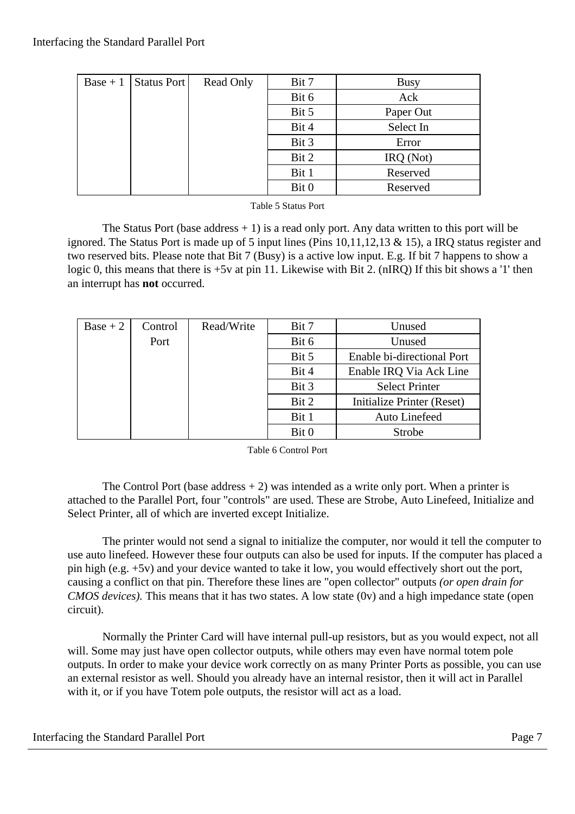| $Base + 1$ Status Port | Read Only | Bit 7 | <b>Busy</b> |
|------------------------|-----------|-------|-------------|
|                        |           | Bit 6 | Ack         |
|                        |           | Bit 5 | Paper Out   |
|                        |           | Bit 4 | Select In   |
|                        |           | Bit 3 | Error       |
|                        |           | Bit 2 | IRQ (Not)   |
|                        |           | Bit 1 | Reserved    |
|                        |           | Bit 0 | Reserved    |

Table 5 Status Port

The Status Port (base address  $+ 1$ ) is a read only port. Any data written to this port will be ignored. The Status Port is made up of 5 input lines (Pins 10,11,12,13 & 15), a IRQ status register and two reserved bits. Please note that Bit 7 (Busy) is a active low input. E.g. If bit 7 happens to show a logic 0, this means that there is  $+5v$  at pin 11. Likewise with Bit 2. (nIRQ) If this bit shows a '1' then an interrupt has **not** occurred.

| $Base + 2$ | Control | Read/Write | Bit 7 | Unused                     |
|------------|---------|------------|-------|----------------------------|
|            | Port    |            | Bit 6 | Unused                     |
|            |         |            | Bit 5 | Enable bi-directional Port |
|            |         |            | Bit 4 | Enable IRQ Via Ack Line    |
|            |         |            | Bit 3 | <b>Select Printer</b>      |
|            |         |            | Bit 2 | Initialize Printer (Reset) |
|            |         |            | Bit 1 | Auto Linefeed              |
|            |         |            | Bit 0 | Strobe                     |

The Control Port (base address  $+ 2$ ) was intended as a write only port. When a printer is attached to the Parallel Port, four "controls" are used. These are Strobe, Auto Linefeed, Initialize and Select Printer, all of which are inverted except Initialize.

The printer would not send a signal to initialize the computer, nor would it tell the computer to use auto linefeed. However these four outputs can also be used for inputs. If the computer has placed a pin high (e.g. +5v) and your device wanted to take it low, you would effectively short out the port, causing a conflict on that pin. Therefore these lines are "open collector" outputs *(or open drain for CMOS devices*). This means that it has two states. A low state (0v) and a high impedance state (open circuit).

Normally the Printer Card will have internal pull-up resistors, but as you would expect, not all will. Some may just have open collector outputs, while others may even have normal totem pole outputs. In order to make your device work correctly on as many Printer Ports as possible, you can use an external resistor as well. Should you already have an internal resistor, then it will act in Parallel with it, or if you have Totem pole outputs, the resistor will act as a load.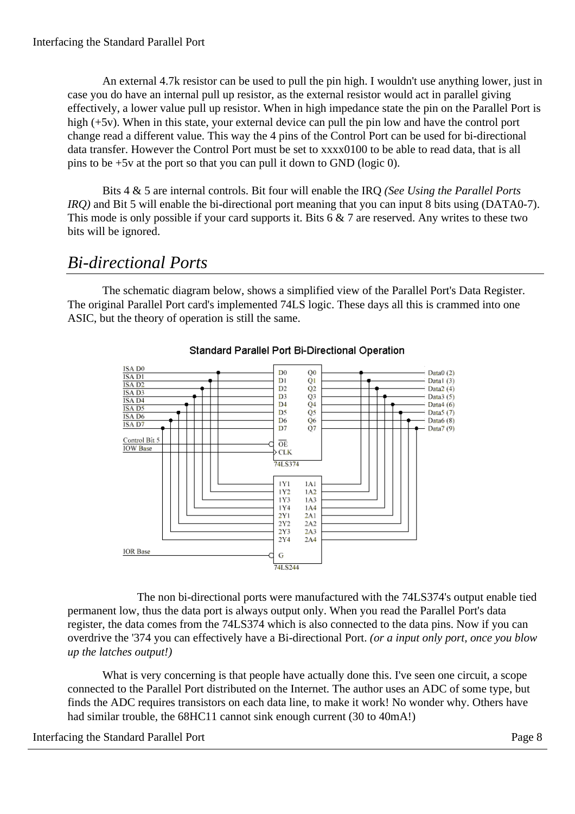An external 4.7k resistor can be used to pull the pin high. I wouldn't use anything lower, just in case you do have an internal pull up resistor, as the external resistor would act in parallel giving effectively, a lower value pull up resistor. When in high impedance state the pin on the Parallel Port is high (+5v). When in this state, your external device can pull the pin low and have the control port change read a different value. This way the 4 pins of the Control Port can be used for bi-directional data transfer. However the Control Port must be set to xxxx0100 to be able to read data, that is all pins to be +5v at the port so that you can pull it down to GND (logic 0).

Bits 4 & 5 are internal controls. Bit four will enable the IRQ *(See Using the Parallel Ports IRQ)* and Bit 5 will enable the bi-directional port meaning that you can input 8 bits using (DATA0-7). This mode is only possible if your card supports it. Bits 6  $\&$  7 are reserved. Any writes to these two bits will be ignored.

## *Bi-directional Ports*

The schematic diagram below, shows a simplified view of the Parallel Port's Data Register. The original Parallel Port card's implemented 74LS logic. These days all this is crammed into one ASIC, but the theory of operation is still the same.



#### Standard Parallel Port Bi-Directional Operation

The non bi-directional ports were manufactured with the 74LS374's output enable tied permanent low, thus the data port is always output only. When you read the Parallel Port's data register, the data comes from the 74LS374 which is also connected to the data pins. Now if you can overdrive the '374 you can effectively have a Bi-directional Port. *(or a input only port, once you blow up the latches output!)*

What is very concerning is that people have actually done this. I've seen one circuit, a scope connected to the Parallel Port distributed on the Internet. The author uses an ADC of some type, but finds the ADC requires transistors on each data line, to make it work! No wonder why. Others have had similar trouble, the 68HC11 cannot sink enough current (30 to 40mA!)

Interfacing the Standard Parallel Port Page 8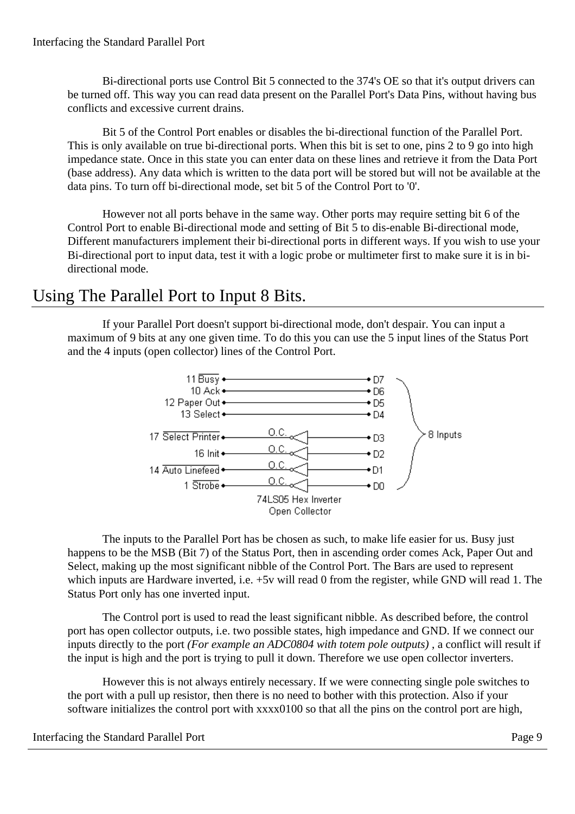Bi-directional ports use Control Bit 5 connected to the 374's OE so that it's output drivers can be turned off. This way you can read data present on the Parallel Port's Data Pins, without having bus conflicts and excessive current drains.

Bit 5 of the Control Port enables or disables the bi-directional function of the Parallel Port. This is only available on true bi-directional ports. When this bit is set to one, pins 2 to 9 go into high impedance state. Once in this state you can enter data on these lines and retrieve it from the Data Port (base address). Any data which is written to the data port will be stored but will not be available at the data pins. To turn off bi-directional mode, set bit 5 of the Control Port to '0'.

However not all ports behave in the same way. Other ports may require setting bit 6 of the Control Port to enable Bi-directional mode and setting of Bit 5 to dis-enable Bi-directional mode, Different manufacturers implement their bi-directional ports in different ways. If you wish to use your Bi-directional port to input data, test it with a logic probe or multimeter first to make sure it is in bidirectional mode.

## Using The Parallel Port to Input 8 Bits.

If your Parallel Port doesn't support bi-directional mode, don't despair. You can input a maximum of 9 bits at any one given time. To do this you can use the 5 input lines of the Status Port and the 4 inputs (open collector) lines of the Control Port.



The inputs to the Parallel Port has be chosen as such, to make life easier for us. Busy just happens to be the MSB (Bit 7) of the Status Port, then in ascending order comes Ack, Paper Out and Select, making up the most significant nibble of the Control Port. The Bars are used to represent which inputs are Hardware inverted, i.e.  $+5v$  will read 0 from the register, while GND will read 1. The Status Port only has one inverted input.

The Control port is used to read the least significant nibble. As described before, the control port has open collector outputs, i.e. two possible states, high impedance and GND. If we connect our inputs directly to the port *(For example an ADC0804 with totem pole outputs)* , a conflict will result if the input is high and the port is trying to pull it down. Therefore we use open collector inverters.

However this is not always entirely necessary. If we were connecting single pole switches to the port with a pull up resistor, then there is no need to bother with this protection. Also if your software initializes the control port with xxxx0100 so that all the pins on the control port are high,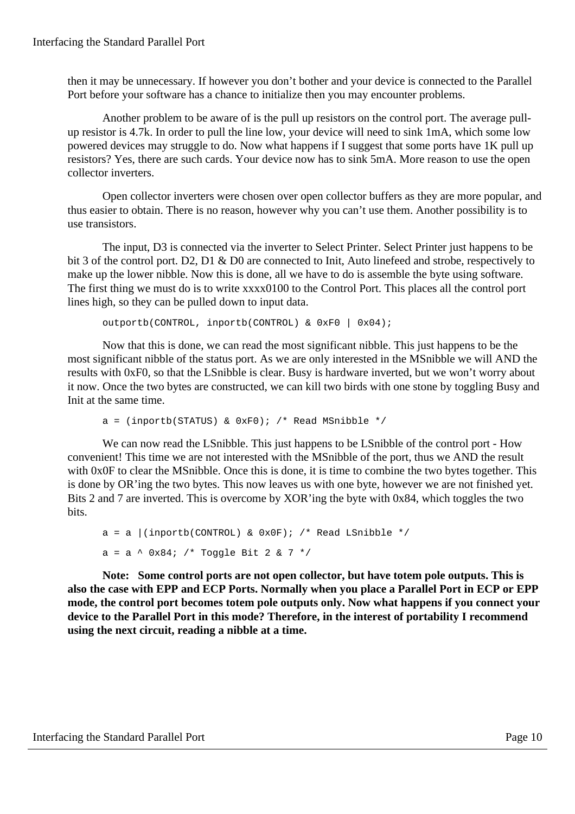then it may be unnecessary. If however you don't bother and your device is connected to the Parallel Port before your software has a chance to initialize then you may encounter problems.

Another problem to be aware of is the pull up resistors on the control port. The average pullup resistor is 4.7k. In order to pull the line low, your device will need to sink 1mA, which some low powered devices may struggle to do. Now what happens if I suggest that some ports have 1K pull up resistors? Yes, there are such cards. Your device now has to sink 5mA. More reason to use the open collector inverters.

Open collector inverters were chosen over open collector buffers as they are more popular, and thus easier to obtain. There is no reason, however why you can't use them. Another possibility is to use transistors.

The input, D3 is connected via the inverter to Select Printer. Select Printer just happens to be bit 3 of the control port. D2, D1 & D0 are connected to Init, Auto linefeed and strobe, respectively to make up the lower nibble. Now this is done, all we have to do is assemble the byte using software. The first thing we must do is to write xxxx0100 to the Control Port. This places all the control port lines high, so they can be pulled down to input data.

outportb(CONTROL, inportb(CONTROL) & 0xF0 | 0x04);

Now that this is done, we can read the most significant nibble. This just happens to be the most significant nibble of the status port. As we are only interested in the MSnibble we will AND the results with 0xF0, so that the LSnibble is clear. Busy is hardware inverted, but we won't worry about it now. Once the two bytes are constructed, we can kill two birds with one stone by toggling Busy and Init at the same time.

 $a = (inportb(STATUS) & 0xF0);$  /\* Read MSnibble \*/

We can now read the LSnibble. This just happens to be LSnibble of the control port - How convenient! This time we are not interested with the MSnibble of the port, thus we AND the result with 0x0F to clear the MSnibble. Once this is done, it is time to combine the two bytes together. This is done by OR'ing the two bytes. This now leaves us with one byte, however we are not finished yet. Bits 2 and 7 are inverted. This is overcome by XOR'ing the byte with 0x84, which toggles the two bits.

```
a = a |(inportb(CONTROL) & 0x0F); /* Read LSnibble */
a = a \land 0x84; /* Toggle Bit 2 & 7 */
```
**Note: Some control ports are not open collector, but have totem pole outputs. This is also the case with EPP and ECP Ports. Normally when you place a Parallel Port in ECP or EPP mode, the control port becomes totem pole outputs only. Now what happens if you connect your device to the Parallel Port in this mode? Therefore, in the interest of portability I recommend using the next circuit, reading a nibble at a time.**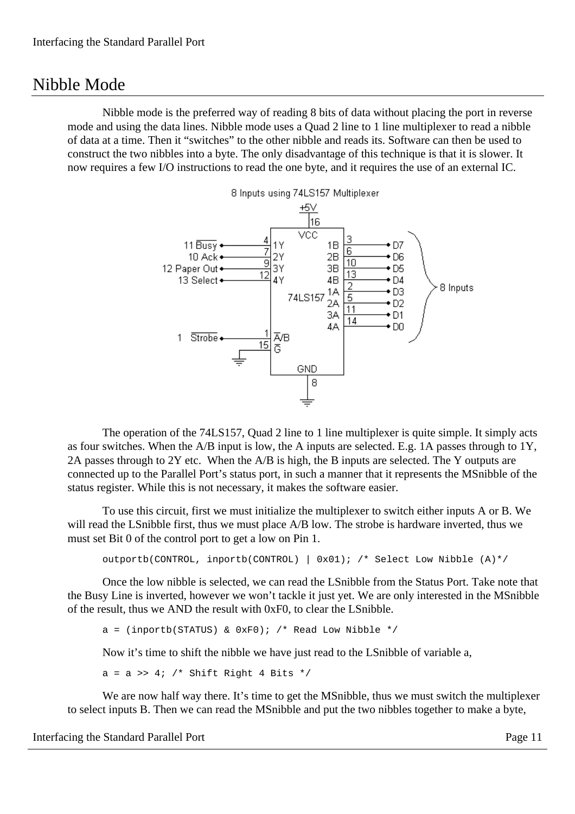## Nibble Mode

Nibble mode is the preferred way of reading 8 bits of data without placing the port in reverse mode and using the data lines. Nibble mode uses a Quad 2 line to 1 line multiplexer to read a nibble of data at a time. Then it "switches" to the other nibble and reads its. Software can then be used to construct the two nibbles into a byte. The only disadvantage of this technique is that it is slower. It now requires a few I/O instructions to read the one byte, and it requires the use of an external IC.



The operation of the 74LS157, Quad 2 line to 1 line multiplexer is quite simple. It simply acts as four switches. When the A/B input is low, the A inputs are selected. E.g. 1A passes through to 1Y, 2A passes through to 2Y etc. When the A/B is high, the B inputs are selected. The Y outputs are connected up to the Parallel Port's status port, in such a manner that it represents the MSnibble of the status register. While this is not necessary, it makes the software easier.

To use this circuit, first we must initialize the multiplexer to switch either inputs A or B. We will read the LSnibble first, thus we must place A/B low. The strobe is hardware inverted, thus we must set Bit 0 of the control port to get a low on Pin 1.

outportb(CONTROL, inportb(CONTROL) | 0x01); /\* Select Low Nibble (A)\*/

Once the low nibble is selected, we can read the LSnibble from the Status Port. Take note that the Busy Line is inverted, however we won't tackle it just yet. We are only interested in the MSnibble of the result, thus we AND the result with 0xF0, to clear the LSnibble.

 $a = (inportb(STATUS) & x(SF0));$  /\* Read Low Nibble \*/

Now it's time to shift the nibble we have just read to the LSnibble of variable a,

 $a = a \gg 4$ ; /\* Shift Right 4 Bits \*/

We are now half way there. It's time to get the MSnibble, thus we must switch the multiplexer to select inputs B. Then we can read the MSnibble and put the two nibbles together to make a byte,

Interfacing the Standard Parallel Port Page 11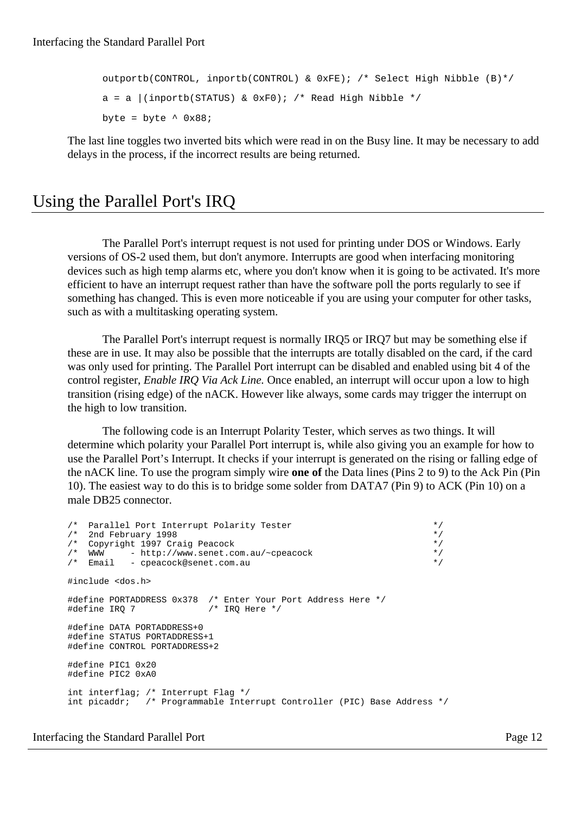```
outportb(CONTROL, inportb(CONTROL) & 0xFE); /* Select High Nibble (B)*/
a = a |(inportb(STATUS) & 0xF0); /* Read High Nibble */
byte = byte \textdegree 0x88;
```
The last line toggles two inverted bits which were read in on the Busy line. It may be necessary to add delays in the process, if the incorrect results are being returned.

## Using the Parallel Port's IRQ

The Parallel Port's interrupt request is not used for printing under DOS or Windows. Early versions of OS-2 used them, but don't anymore. Interrupts are good when interfacing monitoring devices such as high temp alarms etc, where you don't know when it is going to be activated. It's more efficient to have an interrupt request rather than have the software poll the ports regularly to see if something has changed. This is even more noticeable if you are using your computer for other tasks, such as with a multitasking operating system.

The Parallel Port's interrupt request is normally IRQ5 or IRQ7 but may be something else if these are in use. It may also be possible that the interrupts are totally disabled on the card, if the card was only used for printing. The Parallel Port interrupt can be disabled and enabled using bit 4 of the control register, *Enable IRQ Via Ack Line.* Once enabled, an interrupt will occur upon a low to high transition (rising edge) of the nACK. However like always, some cards may trigger the interrupt on the high to low transition.

The following code is an Interrupt Polarity Tester, which serves as two things. It will determine which polarity your Parallel Port interrupt is, while also giving you an example for how to use the Parallel Port's Interrupt. It checks if your interrupt is generated on the rising or falling edge of the nACK line. To use the program simply wire **one of** the Data lines (Pins 2 to 9) to the Ack Pin (Pin 10). The easiest way to do this is to bridge some solder from DATA7 (Pin 9) to ACK (Pin 10) on a male DB25 connector.

```
% Parallel Port Interrupt Polarity Tester */<br>
/* 2nd February 1998 */<br>
/* Copyright 1997 Craig Peacock */<br>
/* WWW - http://www.senet.com.au/~cpeacock */<br>
*/
/* 2nd February 1998
% Copyright 1997 Craig Peacock<br>/* WWW - http://www.senet.com
/* WWW - http://www.senet.com.au/~cpeacock */
/* Email - cpeacock@senet.com.au */
#include <dos.h>
#define PORTADDRESS 0x378 /* Enter Your Port Address Here */<br>#define IRO 7 /* IRO Here */
                              /* IRQ Here */#define DATA PORTADDRESS+0
#define STATUS PORTADDRESS+1
#define CONTROL PORTADDRESS+2
#define PIC1 0x20
#define PIC2 0xA0
int interflag; /* Interrupt Flag */
int picaddr; /* Programmable Interrupt Controller (PIC) Base Address */
```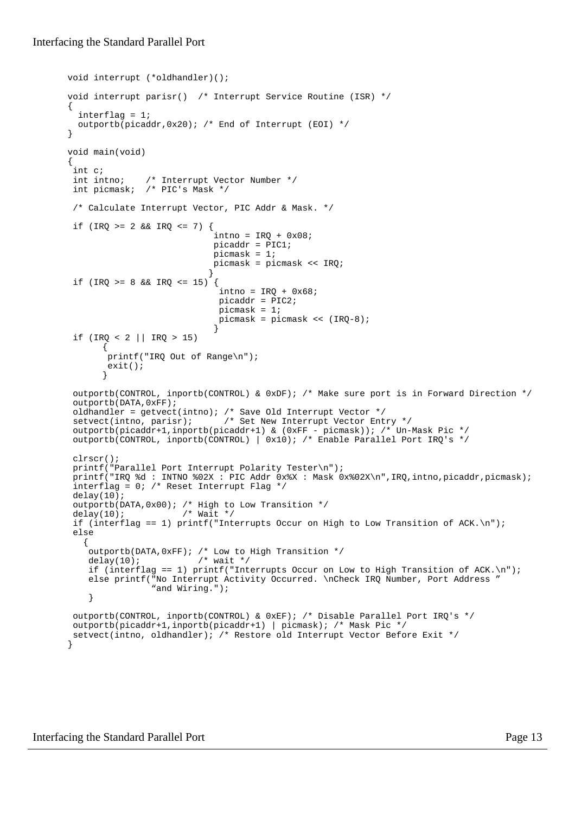#### Interfacing the Standard Parallel Port

```
void interrupt (*oldhandler)();
void interrupt parisr() /* Interrupt Service Routine (ISR) */
{
   interflag = 1;
   outportb(picaddr,0x20); /* End of Interrupt (EOI) */
}
void main(void)
{
  int c;
  int intno; /* Interrupt Vector Number */
  int picmask; /* PIC's Mask */
  /* Calculate Interrupt Vector, PIC Addr & Mask. */
 if (IRQ >= 2 & & IRQ <= 7) {
                              intno = IRQ + 0x08; picaddr = PIC1;
                               picmask = 1;
                              picmask = picmask << IRQ;
                      }
 if (IRQ >= 8 && IRQ <= 15) {
                               intro = IRQ + 0x68; picaddr = PIC2;
                               picmask = 1;
                                picmask = picmask << (IRQ-8);
                      }
 if (IRQ < 2 || IRQ > 15){
         printf("IRQ Out of Range\n");
         exit();
       }
 outportb(CONTROL, inportb(CONTROL) & 0xDF); /* Make sure port is in Forward Direction */
  outportb(DATA,0xFF);
oldhandler = getvect(intno); /* Save Old Interrupt Vector */<br>setvect(intno, parisr); /* Set New Interrupt Vector Ent
                               /* Set New Interrupt Vector Entry */
 outportb(picaddr+1,inportb(picaddr+1) & (0xFF - picmask)); /* Un-Mask Pic */
 outportb(CONTROL, inportb(CONTROL) | 0x10); /* Enable Parallel Port IRQ's */
 clrscr();
 printf("Parallel Port Interrupt Polarity Tester\n");
 printf("IRQ %d : INTNO %02X : PIC Addr 0x%X : Mask 0x%02X\n",IRQ,intno,picaddr,picmask);
\intinterflag = 0; /* Reset Interrupt Flag */
delay(10);outportb(DATA,0x00); /* High to Low Transition */<br>delay(10); /* Wait */
delav(10);
 if (interflag == 1) printf("Interrupts Occur on High to Low Transition of ACK.\langle n^n \rangle;
  else
    {
     outportb(DATA,0xFF); /* Low to High Transition */
    delay(10); \frac{1}{x} wait */
 if (interflag == 1) printf("Interrupts Occur on Low to High Transition of ACK.\n");
 else printf("No Interrupt Activity Occurred. \nCheck IRQ Number, Port Address "
                  "and Wiring.");
     }
  outportb(CONTROL, inportb(CONTROL) & 0xEF); /* Disable Parallel Port IRQ's */
  outportb(picaddr+1,inportb(picaddr+1) | picmask); /* Mask Pic */
 setvect(intno, oldhandler); /* Restore old Interrupt Vector Before Exit */
}
```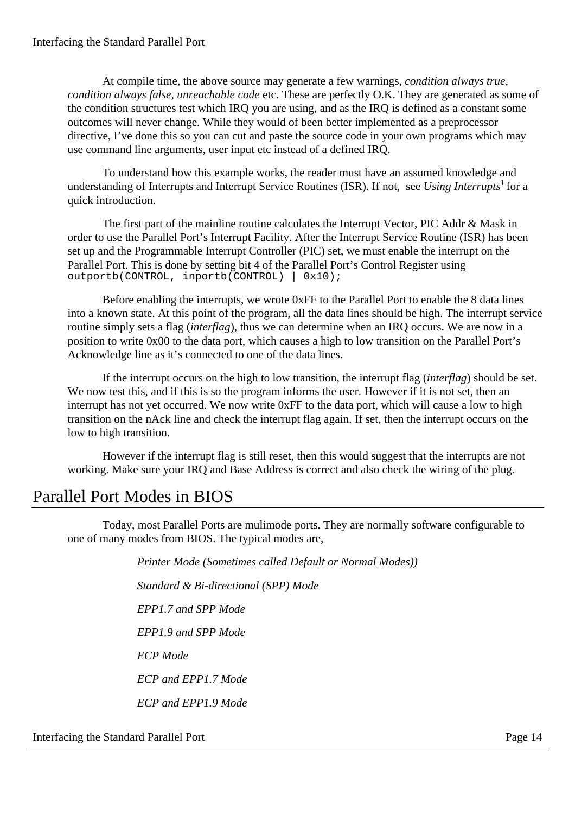At compile time, the above source may generate a few warnings, *condition always true, condition always false, unreachable code* etc. These are perfectly O.K. They are generated as some of the condition structures test which IRQ you are using, and as the IRQ is defined as a constant some outcomes will never change. While they would of been better implemented as a preprocessor directive, I've done this so you can cut and paste the source code in your own programs which may use command line arguments, user input etc instead of a defined IRQ.

To understand how this example works, the reader must have an assumed knowledge and understanding of Interrupts and Interrupt Service Routines (ISR). If not, see *Using Interrupts*<sup>1</sup> for a quick introduction.

The first part of the mainline routine calculates the Interrupt Vector, PIC Addr & Mask in order to use the Parallel Port's Interrupt Facility. After the Interrupt Service Routine (ISR) has been set up and the Programmable Interrupt Controller (PIC) set, we must enable the interrupt on the Parallel Port. This is done by setting bit 4 of the Parallel Port's Control Register using outportb(CONTROL, inportb(CONTROL) | 0x10);

Before enabling the interrupts, we wrote 0xFF to the Parallel Port to enable the 8 data lines into a known state. At this point of the program, all the data lines should be high. The interrupt service routine simply sets a flag (*interflag*), thus we can determine when an IRQ occurs. We are now in a position to write 0x00 to the data port, which causes a high to low transition on the Parallel Port's Acknowledge line as it's connected to one of the data lines.

If the interrupt occurs on the high to low transition, the interrupt flag (*interflag*) should be set. We now test this, and if this is so the program informs the user. However if it is not set, then an interrupt has not yet occurred. We now write 0xFF to the data port, which will cause a low to high transition on the nAck line and check the interrupt flag again. If set, then the interrupt occurs on the low to high transition.

However if the interrupt flag is still reset, then this would suggest that the interrupts are not working. Make sure your IRQ and Base Address is correct and also check the wiring of the plug.

## Parallel Port Modes in BIOS

Today, most Parallel Ports are mulimode ports. They are normally software configurable to one of many modes from BIOS. The typical modes are,

> *Printer Mode (Sometimes called Default or Normal Modes)) Standard & Bi-directional (SPP) Mode EPP1.7 and SPP Mode EPP1.9 and SPP Mode ECP Mode*

*ECP and EPP1.7 Mode*

 *ECP and EPP1.9 Mode*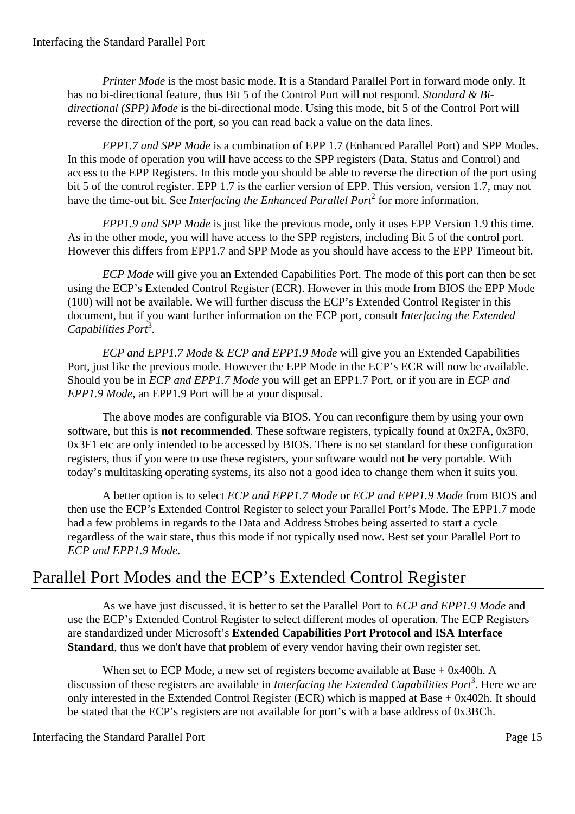*Printer Mode* is the most basic mode. It is a Standard Parallel Port in forward mode only. It has no bi-directional feature, thus Bit 5 of the Control Port will not respond. *Standard & Bidirectional (SPP) Mode* is the bi-directional mode. Using this mode, bit 5 of the Control Port will reverse the direction of the port, so you can read back a value on the data lines.

*EPP1.7 and SPP Mode* is a combination of EPP 1.7 (Enhanced Parallel Port) and SPP Modes. In this mode of operation you will have access to the SPP registers (Data, Status and Control) and access to the EPP Registers. In this mode you should be able to reverse the direction of the port using bit 5 of the control register. EPP 1.7 is the earlier version of EPP. This version, version 1.7, may not have the time-out bit. See *Interfacing the Enhanced Parallel Port*<sup>2</sup> for more information.

*EPP1.9 and SPP Mode* is just like the previous mode, only it uses EPP Version 1.9 this time. As in the other mode, you will have access to the SPP registers, including Bit 5 of the control port. However this differs from EPP1.7 and SPP Mode as you should have access to the EPP Timeout bit.

*ECP Mode* will give you an Extended Capabilities Port. The mode of this port can then be set using the ECP's Extended Control Register (ECR). However in this mode from BIOS the EPP Mode (100) will not be available. We will further discuss the ECP's Extended Control Register in this document, but if you want further information on the ECP port, consult *Interfacing the Extended* Capabilities Port<sup>3</sup>.

*ECP and EPP1.7 Mode* & *ECP and EPP1.9 Mode* will give you an Extended Capabilities Port, just like the previous mode. However the EPP Mode in the ECP's ECR will now be available. Should you be in *ECP and EPP1.7 Mode* you will get an EPP1.7 Port, or if you are in *ECP and EPP1.9 Mode*, an EPP1.9 Port will be at your disposal.

The above modes are configurable via BIOS. You can reconfigure them by using your own software, but this is **not recommended**. These software registers, typically found at 0x2FA, 0x3F0, 0x3F1 etc are only intended to be accessed by BIOS. There is no set standard for these configuration registers, thus if you were to use these registers, your software would not be very portable. With today's multitasking operating systems, its also not a good idea to change them when it suits you.

A better option is to select *ECP and EPP1.7 Mode* or *ECP and EPP1.9 Mode* from BIOS and then use the ECP's Extended Control Register to select your Parallel Port's Mode. The EPP1.7 mode had a few problems in regards to the Data and Address Strobes being asserted to start a cycle regardless of the wait state, thus this mode if not typically used now. Best set your Parallel Port to *ECP and EPP1.9 Mode.*

## Parallel Port Modes and the ECP's Extended Control Register

As we have just discussed, it is better to set the Parallel Port to *ECP and EPP1.9 Mode* and use the ECP's Extended Control Register to select different modes of operation. The ECP Registers are standardized under Microsoft's **Extended Capabilities Port Protocol and ISA Interface Standard**, thus we don't have that problem of every vendor having their own register set.

When set to ECP Mode, a new set of registers become available at Base + 0x400h. A discussion of these registers are available in *Interfacing the Extended Capabilities Port*<sup>3</sup>. Here we are only interested in the Extended Control Register (ECR) which is mapped at Base + 0x402h. It should be stated that the ECP's registers are not available for port's with a base address of 0x3BCh.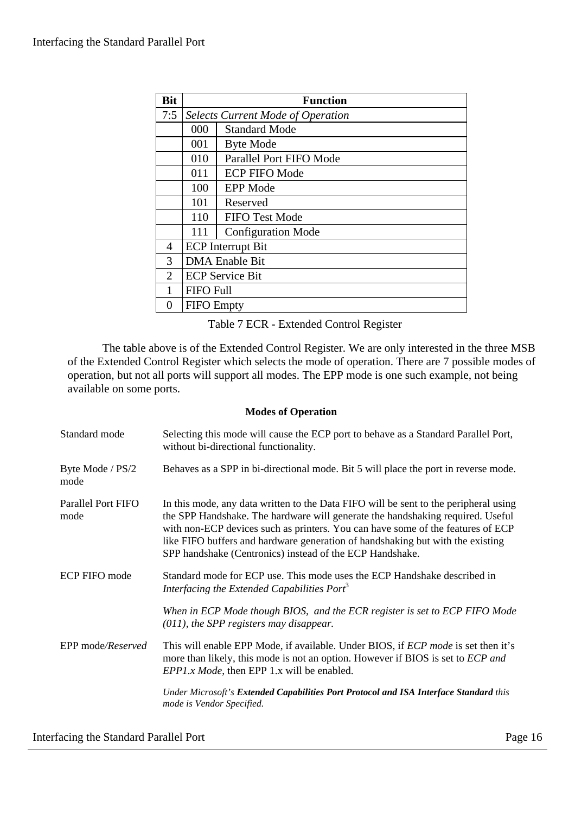| <b>Bit</b> |                   | <b>Function</b>                          |
|------------|-------------------|------------------------------------------|
| 7:5        |                   | <b>Selects Current Mode of Operation</b> |
|            | 000               | <b>Standard Mode</b>                     |
|            | 001               | <b>Byte Mode</b>                         |
|            | 010               | <b>Parallel Port FIFO Mode</b>           |
|            | 011               | <b>ECP FIFO Mode</b>                     |
|            | 100               | EPP Mode                                 |
|            | 101               | Reserved                                 |
|            | 110               | <b>FIFO</b> Test Mode                    |
|            | 111               | <b>Configuration Mode</b>                |
| 4          |                   | <b>ECP</b> Interrupt Bit                 |
| 3          |                   | <b>DMA</b> Enable Bit                    |
| 2          |                   | <b>ECP</b> Service Bit                   |
| 1          | <b>FIFO Full</b>  |                                          |
| $\Omega$   | <b>FIFO</b> Empty |                                          |

Table 7 ECR - Extended Control Register

The table above is of the Extended Control Register. We are only interested in the three MSB of the Extended Control Register which selects the mode of operation. There are 7 possible modes of operation, but not all ports will support all modes. The EPP mode is one such example, not being available on some ports.

#### **Modes of Operation**

| Standard mode              | Selecting this mode will cause the ECP port to behave as a Standard Parallel Port,<br>without bi-directional functionality.                                                                                                                                                                                                                                                                             |
|----------------------------|---------------------------------------------------------------------------------------------------------------------------------------------------------------------------------------------------------------------------------------------------------------------------------------------------------------------------------------------------------------------------------------------------------|
| Byte Mode / PS/2<br>mode   | Behaves as a SPP in bi-directional mode. Bit 5 will place the port in reverse mode.                                                                                                                                                                                                                                                                                                                     |
| Parallel Port FIFO<br>mode | In this mode, any data written to the Data FIFO will be sent to the peripheral using<br>the SPP Handshake. The hardware will generate the handshaking required. Useful<br>with non-ECP devices such as printers. You can have some of the features of ECP<br>like FIFO buffers and hardware generation of handshaking but with the existing<br>SPP handshake (Centronics) instead of the ECP Handshake. |
| ECP FIFO mode              | Standard mode for ECP use. This mode uses the ECP Handshake described in<br>Interfacing the Extended Capabilities Port <sup>3</sup>                                                                                                                                                                                                                                                                     |
|                            | When in ECP Mode though BIOS, and the ECR register is set to ECP FIFO Mode<br>$(011)$ , the SPP registers may disappear.                                                                                                                                                                                                                                                                                |
| EPP mode/Reserved          | This will enable EPP Mode, if available. Under BIOS, if <i>ECP mode</i> is set then it's<br>more than likely, this mode is not an option. However if BIOS is set to <i>ECP and</i><br><i>EPP1.x Mode</i> , then EPP 1.x will be enabled.                                                                                                                                                                |
|                            | Under Microsoft's Extended Capabilities Port Protocol and ISA Interface Standard this<br>mode is Vendor Specified.                                                                                                                                                                                                                                                                                      |

Interfacing the Standard Parallel Port Page 16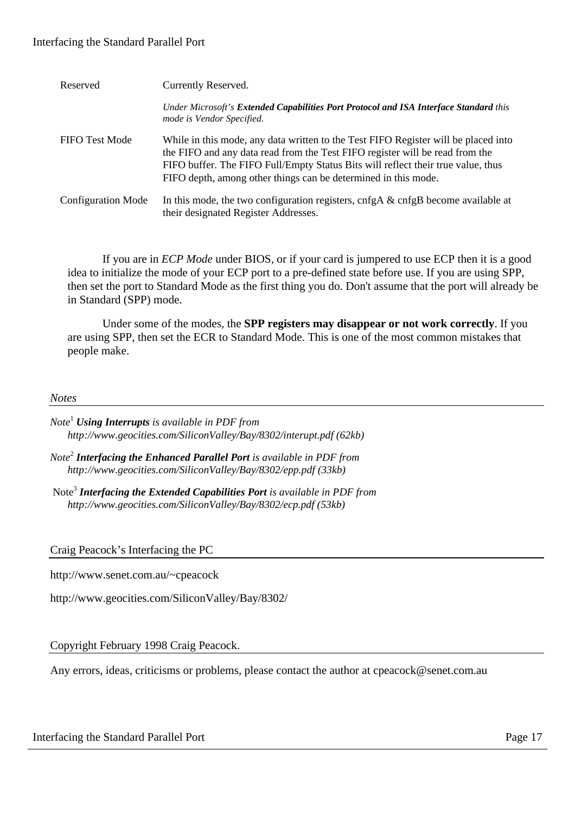| Reserved                  | Currently Reserved.                                                                                                                                                                                                                                                                                                      |
|---------------------------|--------------------------------------------------------------------------------------------------------------------------------------------------------------------------------------------------------------------------------------------------------------------------------------------------------------------------|
|                           | Under Microsoft's Extended Capabilities Port Protocol and ISA Interface Standard this<br>mode is Vendor Specified.                                                                                                                                                                                                       |
| <b>FIFO</b> Test Mode     | While in this mode, any data written to the Test FIFO Register will be placed into<br>the FIFO and any data read from the Test FIFO register will be read from the<br>FIFO buffer. The FIFO Full/Empty Status Bits will reflect their true value, thus<br>FIFO depth, among other things can be determined in this mode. |
| <b>Configuration Mode</b> | In this mode, the two configuration registers, cnfgA $\&$ cnfgB become available at<br>their designated Register Addresses.                                                                                                                                                                                              |

If you are in *ECP Mode* under BIOS, or if your card is jumpered to use ECP then it is a good idea to initialize the mode of your ECP port to a pre-defined state before use. If you are using SPP, then set the port to Standard Mode as the first thing you do. Don't assume that the port will already be in Standard (SPP) mode.

Under some of the modes, the **SPP registers may disappear or not work correctly**. If you are using SPP, then set the ECR to Standard Mode. This is one of the most common mistakes that people make.

#### *Notes*

- *Note*<sup>2</sup> *Interfacing the Enhanced Parallel Port is available in PDF from http://www.geocities.com/SiliconValley/Bay/8302/epp.pdf (33kb)*
- Note<sup>3</sup> *Interfacing the Extended Capabilities Port is available in PDF from http://www.geocities.com/SiliconValley/Bay/8302/ecp.pdf (53kb)*

Craig Peacock's Interfacing the PC

http://www.senet.com.au/~cpeacock

http://www.geocities.com/SiliconValley/Bay/8302/

Copyright February 1998 Craig Peacock.

Any errors, ideas, criticisms or problems, please contact the author at cpeacock@senet.com.au

*Note*<sup>1</sup> *Using Interrupts is available in PDF from http://www.geocities.com/SiliconValley/Bay/8302/interupt.pdf (62kb)*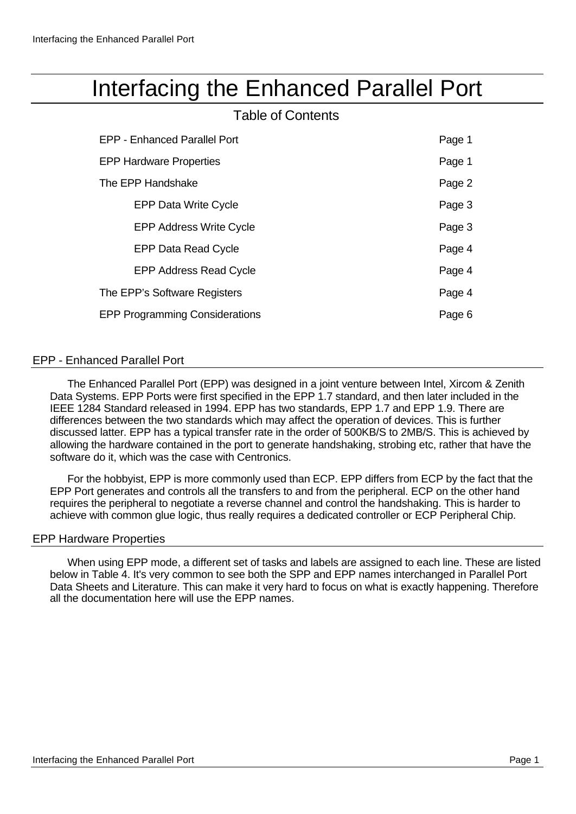# Interfacing the Enhanced Parallel Port

## Table of Contents

| <b>EPP - Enhanced Parallel Port</b>   |        |
|---------------------------------------|--------|
| <b>EPP Hardware Properties</b>        | Page 1 |
| The EPP Handshake                     | Page 2 |
| <b>EPP Data Write Cycle</b>           | Page 3 |
| <b>EPP Address Write Cycle</b>        | Page 3 |
| <b>EPP Data Read Cycle</b>            | Page 4 |
| <b>EPP Address Read Cycle</b>         | Page 4 |
| The EPP's Software Registers          | Page 4 |
| <b>EPP Programming Considerations</b> |        |
|                                       |        |

#### EPP - Enhanced Parallel Port

The Enhanced Parallel Port (EPP) was designed in a joint venture between Intel, Xircom & Zenith Data Systems. EPP Ports were first specified in the EPP 1.7 standard, and then later included in the IEEE 1284 Standard released in 1994. EPP has two standards, EPP 1.7 and EPP 1.9. There are differences between the two standards which may affect the operation of devices. This is further discussed latter. EPP has a typical transfer rate in the order of 500KB/S to 2MB/S. This is achieved by allowing the hardware contained in the port to generate handshaking, strobing etc, rather that have the software do it, which was the case with Centronics.

For the hobbyist, EPP is more commonly used than ECP. EPP differs from ECP by the fact that the EPP Port generates and controls all the transfers to and from the peripheral. ECP on the other hand requires the peripheral to negotiate a reverse channel and control the handshaking. This is harder to achieve with common glue logic, thus really requires a dedicated controller or ECP Peripheral Chip.

#### EPP Hardware Properties

When using EPP mode, a different set of tasks and labels are assigned to each line. These are listed below in Table 4. It's very common to see both the SPP and EPP names interchanged in Parallel Port Data Sheets and Literature. This can make it very hard to focus on what is exactly happening. Therefore all the documentation here will use the EPP names.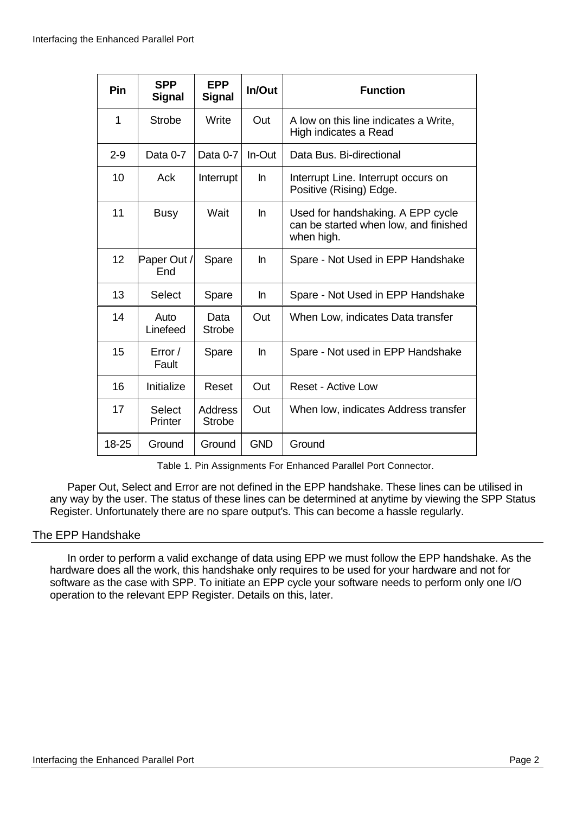| Pin             | <b>SPP</b><br><b>Signal</b> | <b>EPP</b><br><b>Signal</b> | In/Out     | <b>Function</b>                                                                          |
|-----------------|-----------------------------|-----------------------------|------------|------------------------------------------------------------------------------------------|
| 1               | Strobe                      | Write                       | Out        | A low on this line indicates a Write,<br>High indicates a Read                           |
| $2 - 9$         | Data 0-7                    | Data 0-7                    | In-Out     | Data Bus. Bi-directional                                                                 |
| 10              | Ack                         | Interrupt                   | In.        | Interrupt Line. Interrupt occurs on<br>Positive (Rising) Edge.                           |
| 11              | <b>Busy</b>                 | Wait                        | $\ln$      | Used for handshaking. A EPP cycle<br>can be started when low, and finished<br>when high. |
| 12 <sup>2</sup> | Paper Out /<br>End          | Spare                       | ln.        | Spare - Not Used in EPP Handshake                                                        |
| 13              | Select                      | Spare                       | In.        | Spare - Not Used in EPP Handshake                                                        |
| 14              | Auto<br>Linefeed            | Data<br><b>Strobe</b>       | Out        | When Low, indicates Data transfer                                                        |
| 15              | Error /<br>Fault            | Spare                       | In.        | Spare - Not used in EPP Handshake                                                        |
| 16              | Initialize                  | Reset                       | Out        | Reset - Active Low                                                                       |
| 17              | <b>Select</b><br>Printer    | Address<br><b>Strobe</b>    | Out        | When low, indicates Address transfer                                                     |
| 18-25           | Ground                      | Ground                      | <b>GND</b> | Ground                                                                                   |

Table 1. Pin Assignments For Enhanced Parallel Port Connector.

Paper Out, Select and Error are not defined in the EPP handshake. These lines can be utilised in any way by the user. The status of these lines can be determined at anytime by viewing the SPP Status Register. Unfortunately there are no spare output's. This can become a hassle regularly.

#### The EPP Handshake

In order to perform a valid exchange of data using EPP we must follow the EPP handshake. As the hardware does all the work, this handshake only requires to be used for your hardware and not for software as the case with SPP. To initiate an EPP cycle your software needs to perform only one I/O operation to the relevant EPP Register. Details on this, later.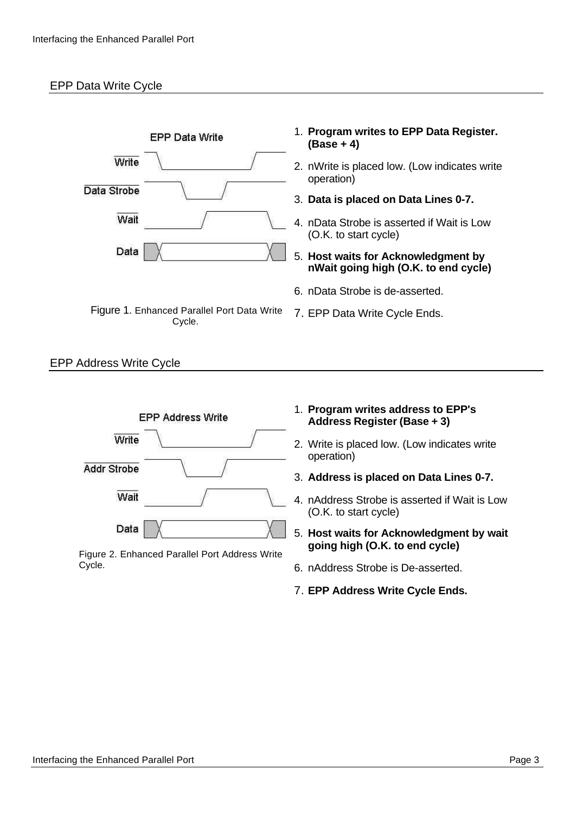#### EPP Data Write Cycle

| <b>EPP Data Write</b>                                 | 1. Program writes to EPP Data Register.<br>$(Base + 4)$                     |
|-------------------------------------------------------|-----------------------------------------------------------------------------|
| Write                                                 | 2. nWrite is placed low. (Low indicates write<br>operation)                 |
| Data Strobe                                           | 3. Data is placed on Data Lines 0-7.                                        |
| Wait                                                  | 4. nData Strobe is asserted if Wait is Low<br>(O.K. to start cycle)         |
| Data                                                  | 5. Host waits for Acknowledgment by<br>nWait going high (O.K. to end cycle) |
|                                                       | 6. nData Strobe is de-asserted.                                             |
| Figure 1. Enhanced Parallel Port Data Write<br>Cycle. | 7. EPP Data Write Cycle Ends.                                               |

#### EPP Address Write Cycle



Figure 2. Enhanced Parallel Port Address Write Cycle.

- 1. **Program writes address to EPP's Address Register (Base + 3)**
- 2. Write is placed low. (Low indicates write operation)
- 3. **Address is placed on Data Lines 0-7.**
- 4. nAddress Strobe is asserted if Wait is Low (O.K. to start cycle)
- 5. **Host waits for Acknowledgment by wait going high (O.K. to end cycle)**
- 6. nAddress Strobe is De-asserted.
- 7. **EPP Address Write Cycle Ends.**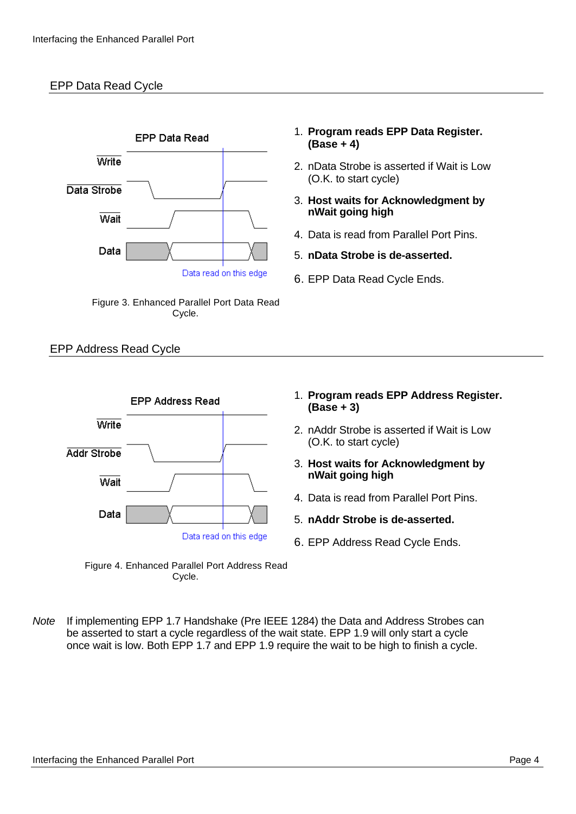#### EPP Data Read Cycle



Figure 3. Enhanced Parallel Port Data Read Cycle.

#### EPP Address Read Cycle





- 1. **Program reads EPP Data Register. (Base + 4)**
- 2. nData Strobe is asserted if Wait is Low (O.K. to start cycle)
- 3. **Host waits for Acknowledgment by nWait going high**
- 4. Data is read from Parallel Port Pins.
- 5. **nData Strobe is de-asserted.**
- 6. EPP Data Read Cycle Ends.

- 1. **Program reads EPP Address Register. (Base + 3)**
- 2. nAddr Strobe is asserted if Wait is Low (O.K. to start cycle)
- 3. **Host waits for Acknowledgment by nWait going high**
- 4. Data is read from Parallel Port Pins.
- 5. **nAddr Strobe is de-asserted.**
- 6. EPP Address Read Cycle Ends.
- *Note* If implementing EPP 1.7 Handshake (Pre IEEE 1284) the Data and Address Strobes can be asserted to start a cycle regardless of the wait state. EPP 1.9 will only start a cycle once wait is low. Both EPP 1.7 and EPP 1.9 require the wait to be high to finish a cycle.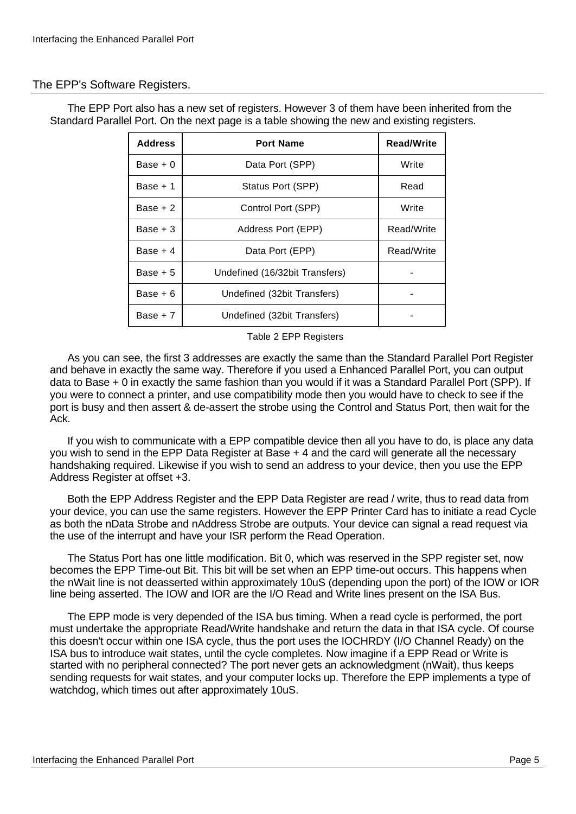#### The EPP's Software Registers.

The EPP Port also has a new set of registers. However 3 of them have been inherited from the Standard Parallel Port. On the next page is a table showing the new and existing registers.

| <b>Address</b> | <b>Port Name</b>               | <b>Read/Write</b> |
|----------------|--------------------------------|-------------------|
| Base $+0$      | Data Port (SPP)                | Write             |
| Base $+1$      | Status Port (SPP)              | Read              |
| Base $+2$      | Control Port (SPP)             | Write             |
| $Base + 3$     | Address Port (EPP)             | Read/Write        |
| Base $+4$      | Data Port (EPP)                | Read/Write        |
| Base $+5$      | Undefined (16/32bit Transfers) |                   |
| Base $+6$      | Undefined (32bit Transfers)    |                   |
| Base $+7$      | Undefined (32bit Transfers)    |                   |

Table 2 EPP Registers

As you can see, the first 3 addresses are exactly the same than the Standard Parallel Port Register and behave in exactly the same way. Therefore if you used a Enhanced Parallel Port, you can output data to Base + 0 in exactly the same fashion than you would if it was a Standard Parallel Port (SPP). If you were to connect a printer, and use compatibility mode then you would have to check to see if the port is busy and then assert & de-assert the strobe using the Control and Status Port, then wait for the Ack.

If you wish to communicate with a EPP compatible device then all you have to do, is place any data you wish to send in the EPP Data Register at Base + 4 and the card will generate all the necessary handshaking required. Likewise if you wish to send an address to your device, then you use the EPP Address Register at offset +3.

Both the EPP Address Register and the EPP Data Register are read / write, thus to read data from your device, you can use the same registers. However the EPP Printer Card has to initiate a read Cycle as both the nData Strobe and nAddress Strobe are outputs. Your device can signal a read request via the use of the interrupt and have your ISR perform the Read Operation.

The Status Port has one little modification. Bit 0, which was reserved in the SPP register set, now becomes the EPP Time-out Bit. This bit will be set when an EPP time-out occurs. This happens when the nWait line is not deasserted within approximately 10uS (depending upon the port) of the IOW or IOR line being asserted. The IOW and IOR are the I/O Read and Write lines present on the ISA Bus.

The EPP mode is very depended of the ISA bus timing. When a read cycle is performed, the port must undertake the appropriate Read/Write handshake and return the data in that ISA cycle. Of course this doesn't occur within one ISA cycle, thus the port uses the IOCHRDY (I/O Channel Ready) on the ISA bus to introduce wait states, until the cycle completes. Now imagine if a EPP Read or Write is started with no peripheral connected? The port never gets an acknowledgment (nWait), thus keeps sending requests for wait states, and your computer locks up. Therefore the EPP implements a type of watchdog, which times out after approximately 10uS.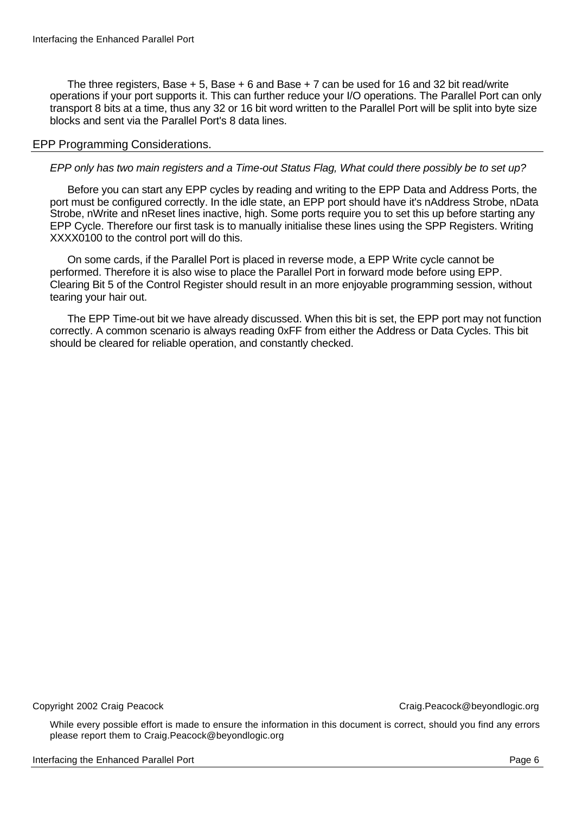The three registers, Base  $+ 5$ , Base  $+ 6$  and Base  $+ 7$  can be used for 16 and 32 bit read/write operations if your port supports it. This can further reduce your I/O operations. The Parallel Port can only transport 8 bits at a time, thus any 32 or 16 bit word written to the Parallel Port will be split into byte size blocks and sent via the Parallel Port's 8 data lines.

#### EPP Programming Considerations.

#### *EPP only has two main registers and a Time-out Status Flag, What could there possibly be to set up?*

Before you can start any EPP cycles by reading and writing to the EPP Data and Address Ports, the port must be configured correctly. In the idle state, an EPP port should have it's nAddress Strobe, nData Strobe, nWrite and nReset lines inactive, high. Some ports require you to set this up before starting any EPP Cycle. Therefore our first task is to manually initialise these lines using the SPP Registers. Writing XXXX0100 to the control port will do this.

On some cards, if the Parallel Port is placed in reverse mode, a EPP Write cycle cannot be performed. Therefore it is also wise to place the Parallel Port in forward mode before using EPP. Clearing Bit 5 of the Control Register should result in an more enjoyable programming session, without tearing your hair out.

The EPP Time-out bit we have already discussed. When this bit is set, the EPP port may not function correctly. A common scenario is always reading 0xFF from either the Address or Data Cycles. This bit should be cleared for reliable operation, and constantly checked.

Copyright 2002 Craig Peacock Craig.Peacock@beyondlogic.org

While every possible effort is made to ensure the information in this document is correct, should you find any errors please report them to Craig.Peacock@beyondlogic.org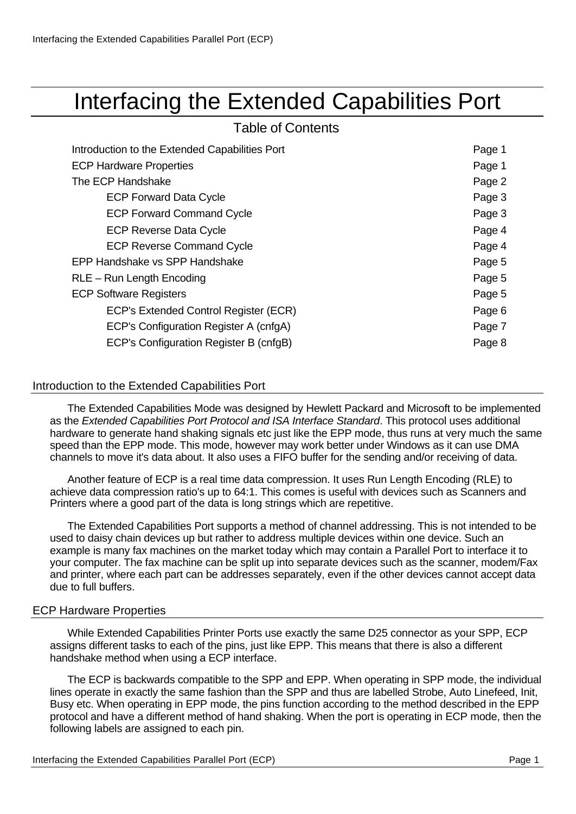# Interfacing the Extended Capabilities Port

### Table of Contents

| <b>ECP Hardware Properties</b><br>Page 1<br>The ECP Handshake<br>Page 2 |
|-------------------------------------------------------------------------|
|                                                                         |
|                                                                         |
| <b>ECP Forward Data Cycle</b><br>Page 3                                 |
| <b>ECP Forward Command Cycle</b><br>Page 3                              |
| <b>ECP Reverse Data Cycle</b><br>Page 4                                 |
| <b>ECP Reverse Command Cycle</b><br>Page 4                              |
| EPP Handshake vs SPP Handshake<br>Page 5                                |
| RLE - Run Length Encoding<br>Page 5                                     |
| <b>ECP Software Registers</b><br>Page 5                                 |
| ECP's Extended Control Register (ECR)<br>Page 6                         |
| ECP's Configuration Register A (cnfgA)<br>Page 7                        |
| ECP's Configuration Register B (cnfgB)<br>Page 8                        |

#### Introduction to the Extended Capabilities Port

The Extended Capabilities Mode was designed by Hewlett Packard and Microsoft to be implemented as the *Extended Capabilities Port Protocol and ISA Interface Standard*. This protocol uses additional hardware to generate hand shaking signals etc just like the EPP mode, thus runs at very much the same speed than the EPP mode. This mode, however may work better under Windows as it can use DMA channels to move it's data about. It also uses a FIFO buffer for the sending and/or receiving of data.

Another feature of ECP is a real time data compression. It uses Run Length Encoding (RLE) to achieve data compression ratio's up to 64:1. This comes is useful with devices such as Scanners and Printers where a good part of the data is long strings which are repetitive.

The Extended Capabilities Port supports a method of channel addressing. This is not intended to be used to daisy chain devices up but rather to address multiple devices within one device. Such an example is many fax machines on the market today which may contain a Parallel Port to interface it to your computer. The fax machine can be split up into separate devices such as the scanner, modem/Fax and printer, where each part can be addresses separately, even if the other devices cannot accept data due to full buffers.

#### ECP Hardware Properties

While Extended Capabilities Printer Ports use exactly the same D25 connector as your SPP, ECP assigns different tasks to each of the pins, just like EPP. This means that there is also a different handshake method when using a ECP interface.

The ECP is backwards compatible to the SPP and EPP. When operating in SPP mode, the individual lines operate in exactly the same fashion than the SPP and thus are labelled Strobe, Auto Linefeed, Init, Busy etc. When operating in EPP mode, the pins function according to the method described in the EPP protocol and have a different method of hand shaking. When the port is operating in ECP mode, then the following labels are assigned to each pin.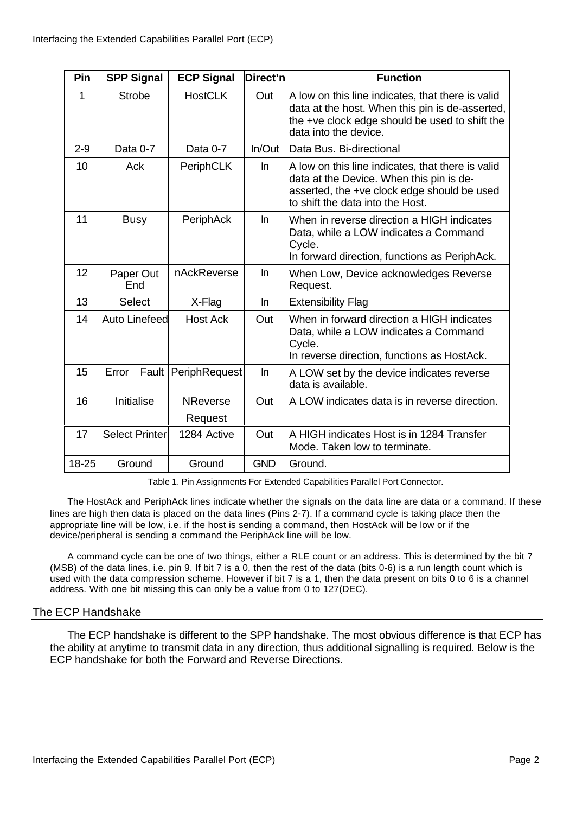| Pin     | <b>SPP Signal</b>     | <b>ECP Signal</b>          | Direct'n   | <b>Function</b>                                                                                                                                                                  |
|---------|-----------------------|----------------------------|------------|----------------------------------------------------------------------------------------------------------------------------------------------------------------------------------|
| 1       | <b>Strobe</b>         | <b>HostCLK</b>             | Out        | A low on this line indicates, that there is valid<br>data at the host. When this pin is de-asserted,<br>the +ve clock edge should be used to shift the<br>data into the device.  |
| $2 - 9$ | Data 0-7              | Data 0-7                   | In/Out     | Data Bus. Bi-directional                                                                                                                                                         |
| 10      | Ack                   | PeriphCLK                  | In         | A low on this line indicates, that there is valid<br>data at the Device. When this pin is de-<br>asserted, the +ve clock edge should be used<br>to shift the data into the Host. |
| 11      | <b>Busy</b>           | PeriphAck                  | $\ln$      | When in reverse direction a HIGH indicates<br>Data, while a LOW indicates a Command<br>Cycle.<br>In forward direction, functions as PeriphAck.                                   |
| 12      | Paper Out<br>End      | nAckReverse                | $\ln$      | When Low, Device acknowledges Reverse<br>Request.                                                                                                                                |
| 13      | <b>Select</b>         | X-Flag                     | $\ln$      | <b>Extensibility Flag</b>                                                                                                                                                        |
| 14      | <b>Auto Linefeed</b>  | <b>Host Ack</b>            | Out        | When in forward direction a HIGH indicates<br>Data, while a LOW indicates a Command<br>Cycle.<br>In reverse direction, functions as HostAck.                                     |
| 15      | Error<br>Fault        | PeriphRequest              | $\ln$      | A LOW set by the device indicates reverse<br>data is available.                                                                                                                  |
| 16      | Initialise            | <b>NReverse</b><br>Request | Out        | A LOW indicates data is in reverse direction.                                                                                                                                    |
| 17      | <b>Select Printer</b> | 1284 Active                | Out        | A HIGH indicates Host is in 1284 Transfer<br>Mode. Taken low to terminate.                                                                                                       |
| 18-25   | Ground                | Ground                     | <b>GND</b> | Ground.                                                                                                                                                                          |

Table 1. Pin Assignments For Extended Capabilities Parallel Port Connector.

The HostAck and PeriphAck lines indicate whether the signals on the data line are data or a command. If these lines are high then data is placed on the data lines (Pins 2-7). If a command cycle is taking place then the appropriate line will be low, i.e. if the host is sending a command, then HostAck will be low or if the device/peripheral is sending a command the PeriphAck line will be low.

A command cycle can be one of two things, either a RLE count or an address. This is determined by the bit 7 (MSB) of the data lines, i.e. pin 9. If bit 7 is a 0, then the rest of the data (bits 0-6) is a run length count which is used with the data compression scheme. However if bit 7 is a 1, then the data present on bits 0 to 6 is a channel address. With one bit missing this can only be a value from 0 to 127(DEC).

#### The ECP Handshake

The ECP handshake is different to the SPP handshake. The most obvious difference is that ECP has the ability at anytime to transmit data in any direction, thus additional signalling is required. Below is the ECP handshake for both the Forward and Reverse Directions.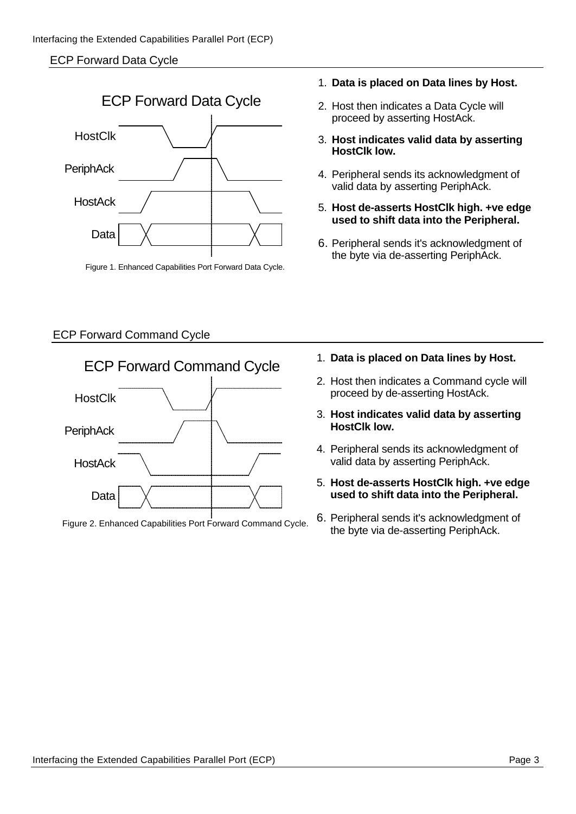#### ECP Forward Data Cycle



Figure 1. Enhanced Capabilities Port Forward Data Cycle.

#### ECP Forward Command Cycle



- 1. **Data is placed on Data lines by Host.**
- 2. Host then indicates a Data Cycle will proceed by asserting HostAck.
- 3. **Host indicates valid data by asserting HostClk low.**
- 4. Peripheral sends its acknowledgment of valid data by asserting PeriphAck.
- 5. **Host de-asserts HostClk high. +ve edge used to shift data into the Peripheral.**
- 6. Peripheral sends it's acknowledgment of the byte via de-asserting PeriphAck.

- 1. **Data is placed on Data lines by Host.**
- 2. Host then indicates a Command cycle will proceed by de-asserting HostAck.
- 3. **Host indicates valid data by asserting HostClk low.**
- 4. Peripheral sends its acknowledgment of valid data by asserting PeriphAck.
- 5. **Host de-asserts HostClk high. +ve edge used to shift data into the Peripheral.**
- 6. Peripheral sends it's acknowledgment of the byte via de-asserting PeriphAck.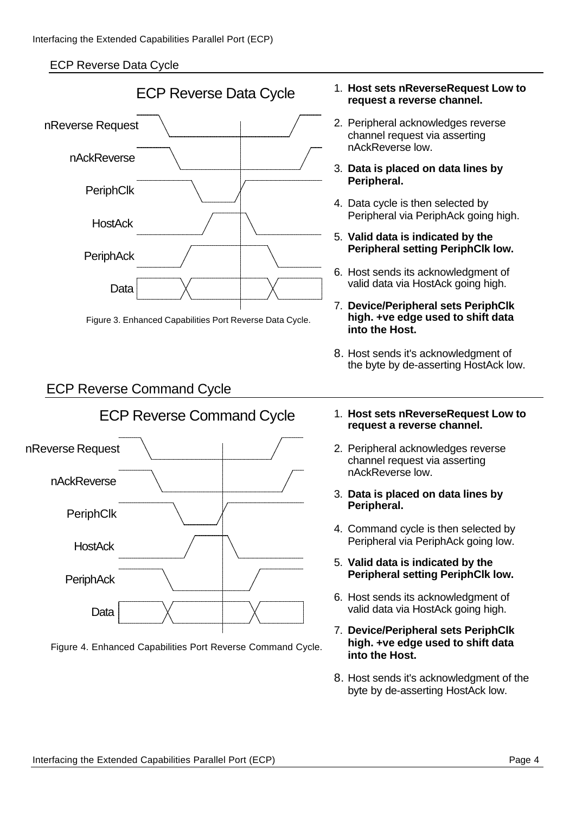#### ECP Reverse Data Cycle



Figure 3. Enhanced Capabilities Port Reverse Data Cycle.

ECP Reverse Command Cycle

## ECP Reverse Command Cycle



Figure 4. Enhanced Capabilities Port Reverse Command Cycle.

#### 1. **Host sets nReverseRequest Low to request a reverse channel.**

- 2. Peripheral acknowledges reverse channel request via asserting nAckReverse low.
- 3. **Data is placed on data lines by Peripheral.**
- 4. Data cycle is then selected by Peripheral via PeriphAck going high.
- 5. **Valid data is indicated by the Peripheral setting PeriphClk low.**
- 6. Host sends its acknowledgment of valid data via HostAck going high.
- 7. **Device/Peripheral sets PeriphClk high. +ve edge used to shift data into the Host.**
- 8. Host sends it's acknowledgment of the byte by de-asserting HostAck low.
- 1. **Host sets nReverseRequest Low to request a reverse channel.**
- 2. Peripheral acknowledges reverse channel request via asserting nAckReverse low.
- 3. **Data is placed on data lines by Peripheral.**
- 4. Command cycle is then selected by Peripheral via PeriphAck going low.
- 5. **Valid data is indicated by the Peripheral setting PeriphClk low.**
- 6. Host sends its acknowledgment of valid data via HostAck going high.
- 7. **Device/Peripheral sets PeriphClk high. +ve edge used to shift data into the Host.**
- 8. Host sends it's acknowledgment of the byte by de-asserting HostAck low.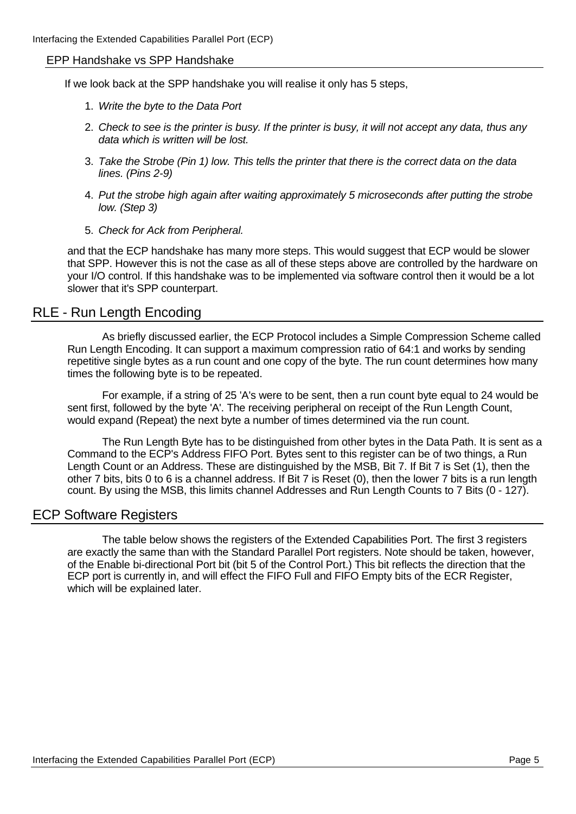#### EPP Handshake vs SPP Handshake

If we look back at the SPP handshake you will realise it only has 5 steps,

- 1. *Write the byte to the Data Port*
- 2. *Check to see is the printer is busy. If the printer is busy, it will not accept any data, thus any data which is written will be lost.*
- 3. *Take the Strobe (Pin 1) low. This tells the printer that there is the correct data on the data lines. (Pins 2-9)*
- 4. *Put the strobe high again after waiting approximately 5 microseconds after putting the strobe low. (Step 3)*
- 5. *Check for Ack from Peripheral.*

and that the ECP handshake has many more steps. This would suggest that ECP would be slower that SPP. However this is not the case as all of these steps above are controlled by the hardware on your I/O control. If this handshake was to be implemented via software control then it would be a lot slower that it's SPP counterpart.

#### RLE - Run Length Encoding

As briefly discussed earlier, the ECP Protocol includes a Simple Compression Scheme called Run Length Encoding. It can support a maximum compression ratio of 64:1 and works by sending repetitive single bytes as a run count and one copy of the byte. The run count determines how many times the following byte is to be repeated.

For example, if a string of 25 'A's were to be sent, then a run count byte equal to 24 would be sent first, followed by the byte 'A'. The receiving peripheral on receipt of the Run Length Count, would expand (Repeat) the next byte a number of times determined via the run count.

The Run Length Byte has to be distinguished from other bytes in the Data Path. It is sent as a Command to the ECP's Address FIFO Port. Bytes sent to this register can be of two things, a Run Length Count or an Address. These are distinguished by the MSB, Bit 7. If Bit 7 is Set (1), then the other 7 bits, bits 0 to 6 is a channel address. If Bit 7 is Reset (0), then the lower 7 bits is a run length count. By using the MSB, this limits channel Addresses and Run Length Counts to 7 Bits (0 - 127).

#### ECP Software Registers

The table below shows the registers of the Extended Capabilities Port. The first 3 registers are exactly the same than with the Standard Parallel Port registers. Note should be taken, however, of the Enable bi-directional Port bit (bit 5 of the Control Port.) This bit reflects the direction that the ECP port is currently in, and will effect the FIFO Full and FIFO Empty bits of the ECR Register, which will be explained later.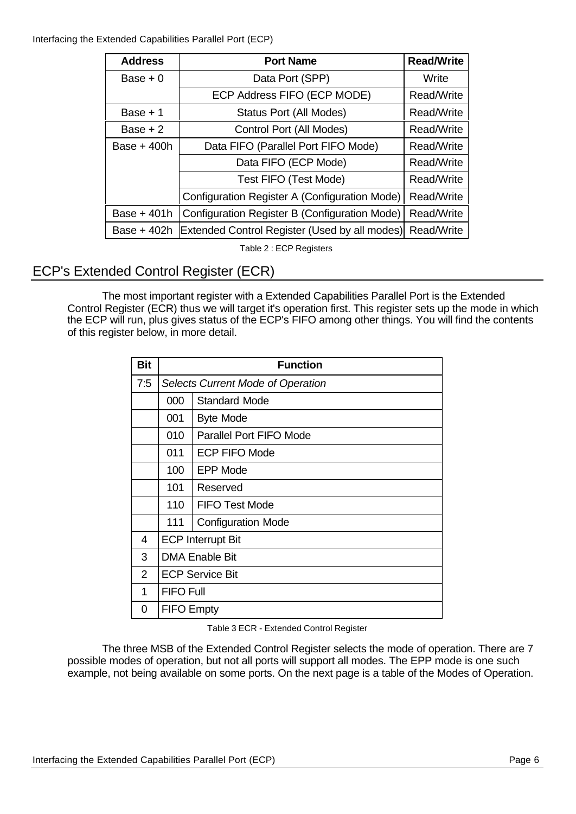Interfacing the Extended Capabilities Parallel Port (ECP)

| <b>Address</b> | <b>Port Name</b>                              | <b>Read/Write</b> |
|----------------|-----------------------------------------------|-------------------|
| Base $+0$      | Data Port (SPP)                               |                   |
|                | ECP Address FIFO (ECP MODE)                   | Read/Write        |
| Base + 1       | Status Port (All Modes)                       | Read/Write        |
| Base $+2$      | Control Port (All Modes)                      | Read/Write        |
| Base $+400h$   | Data FIFO (Parallel Port FIFO Mode)           | Read/Write        |
|                | Data FIFO (ECP Mode)                          | Read/Write        |
|                | <b>Test FIFO (Test Mode)</b>                  | Read/Write        |
|                | Configuration Register A (Configuration Mode) | Read/Write        |
| Base + 401h    | Configuration Register B (Configuration Mode) | Read/Write        |
| Base + 402h    | Extended Control Register (Used by all modes) | Read/Write        |

Table 2 : ECP Registers

### ECP's Extended Control Register (ECR)

The most important register with a Extended Capabilities Parallel Port is the Extended Control Register (ECR) thus we will target it's operation first. This register sets up the mode in which the ECP will run, plus gives status of the ECP's FIFO among other things. You will find the contents of this register below, in more detail.

| <b>Bit</b>     | <b>Function</b>                   |                                |  |
|----------------|-----------------------------------|--------------------------------|--|
| 7:5            | Selects Current Mode of Operation |                                |  |
|                | 000                               | <b>Standard Mode</b>           |  |
|                | 001                               | <b>Byte Mode</b>               |  |
|                | 010                               | <b>Parallel Port FIFO Mode</b> |  |
|                | 011                               | <b>ECP FIFO Mode</b>           |  |
|                | 100                               | <b>EPP Mode</b>                |  |
|                | 101                               | Reserved                       |  |
|                | 110                               | <b>FIFO Test Mode</b>          |  |
|                | 111                               | <b>Configuration Mode</b>      |  |
| 4              | <b>ECP Interrupt Bit</b>          |                                |  |
| 3              | <b>DMA Enable Bit</b>             |                                |  |
| $\overline{2}$ | <b>ECP Service Bit</b>            |                                |  |
| 1              | <b>FIFO Full</b>                  |                                |  |
| Ω              | <b>FIFO Empty</b>                 |                                |  |

Table 3 ECR - Extended Control Register

The three MSB of the Extended Control Register selects the mode of operation. There are 7 possible modes of operation, but not all ports will support all modes. The EPP mode is one such example, not being available on some ports. On the next page is a table of the Modes of Operation.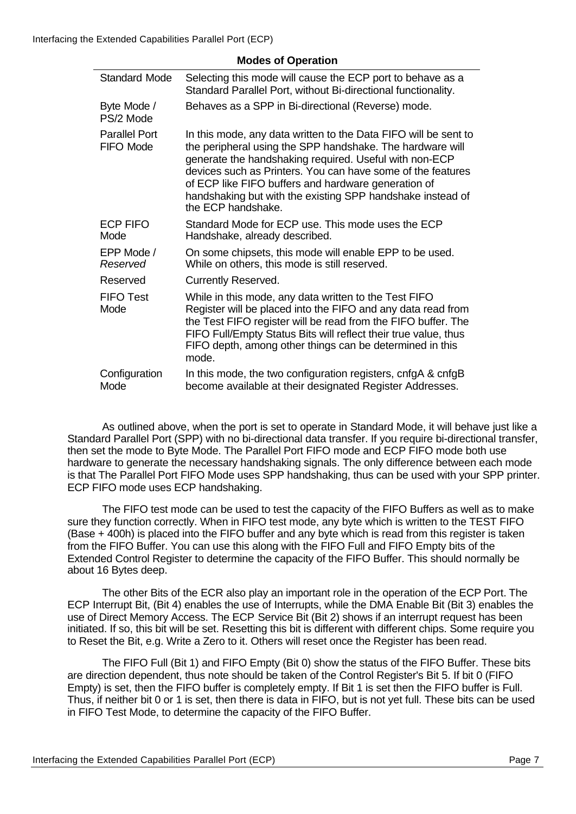| <b>Modes of Operation</b>         |                                                                                                                                                                                                                                                                                                                                                                                                  |  |  |
|-----------------------------------|--------------------------------------------------------------------------------------------------------------------------------------------------------------------------------------------------------------------------------------------------------------------------------------------------------------------------------------------------------------------------------------------------|--|--|
| <b>Standard Mode</b>              | Selecting this mode will cause the ECP port to behave as a<br>Standard Parallel Port, without Bi-directional functionality.                                                                                                                                                                                                                                                                      |  |  |
| Byte Mode /<br>PS/2 Mode          | Behaves as a SPP in Bi-directional (Reverse) mode.                                                                                                                                                                                                                                                                                                                                               |  |  |
| <b>Parallel Port</b><br>FIFO Mode | In this mode, any data written to the Data FIFO will be sent to<br>the peripheral using the SPP handshake. The hardware will<br>generate the handshaking required. Useful with non-ECP<br>devices such as Printers. You can have some of the features<br>of ECP like FIFO buffers and hardware generation of<br>handshaking but with the existing SPP handshake instead of<br>the ECP handshake. |  |  |
| ECP FIFO<br>Mode                  | Standard Mode for ECP use. This mode uses the ECP<br>Handshake, already described.                                                                                                                                                                                                                                                                                                               |  |  |
| EPP Mode /<br>Reserved            | On some chipsets, this mode will enable EPP to be used.<br>While on others, this mode is still reserved.                                                                                                                                                                                                                                                                                         |  |  |
| Reserved                          | <b>Currently Reserved.</b>                                                                                                                                                                                                                                                                                                                                                                       |  |  |
| <b>FIFO</b> Test<br>Mode          | While in this mode, any data written to the Test FIFO<br>Register will be placed into the FIFO and any data read from<br>the Test FIFO register will be read from the FIFO buffer. The<br>FIFO Full/Empty Status Bits will reflect their true value, thus<br>FIFO depth, among other things can be determined in this<br>mode.                                                                   |  |  |
| Configuration<br>Mode             | In this mode, the two configuration registers, cnfgA & cnfgB<br>become available at their designated Register Addresses.                                                                                                                                                                                                                                                                         |  |  |

As outlined above, when the port is set to operate in Standard Mode, it will behave just like a Standard Parallel Port (SPP) with no bi-directional data transfer. If you require bi-directional transfer, then set the mode to Byte Mode. The Parallel Port FIFO mode and ECP FIFO mode both use hardware to generate the necessary handshaking signals. The only difference between each mode is that The Parallel Port FIFO Mode uses SPP handshaking, thus can be used with your SPP printer. ECP FIFO mode uses ECP handshaking.

The FIFO test mode can be used to test the capacity of the FIFO Buffers as well as to make sure they function correctly. When in FIFO test mode, any byte which is written to the TEST FIFO (Base + 400h) is placed into the FIFO buffer and any byte which is read from this register is taken from the FIFO Buffer. You can use this along with the FIFO Full and FIFO Empty bits of the Extended Control Register to determine the capacity of the FIFO Buffer. This should normally be about 16 Bytes deep.

The other Bits of the ECR also play an important role in the operation of the ECP Port. The ECP Interrupt Bit, (Bit 4) enables the use of Interrupts, while the DMA Enable Bit (Bit 3) enables the use of Direct Memory Access. The ECP Service Bit (Bit 2) shows if an interrupt request has been initiated. If so, this bit will be set. Resetting this bit is different with different chips. Some require you to Reset the Bit, e.g. Write a Zero to it. Others will reset once the Register has been read.

The FIFO Full (Bit 1) and FIFO Empty (Bit 0) show the status of the FIFO Buffer. These bits are direction dependent, thus note should be taken of the Control Register's Bit 5. If bit 0 (FIFO Empty) is set, then the FIFO buffer is completely empty. If Bit 1 is set then the FIFO buffer is Full. Thus, if neither bit 0 or 1 is set, then there is data in FIFO, but is not yet full. These bits can be used in FIFO Test Mode, to determine the capacity of the FIFO Buffer.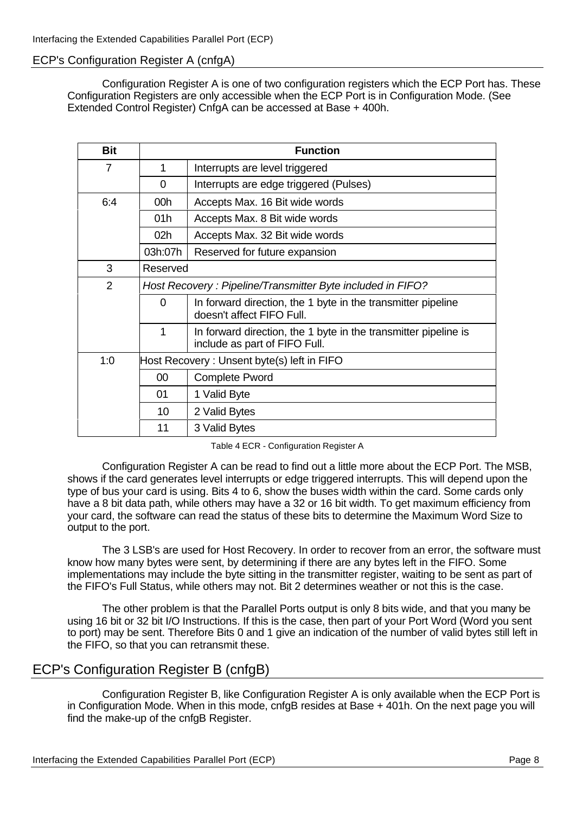#### ECP's Configuration Register A (cnfgA)

Configuration Register A is one of two configuration registers which the ECP Port has. These Configuration Registers are only accessible when the ECP Port is in Configuration Mode. (See Extended Control Register) CnfgA can be accessed at Base + 400h.

| <b>Bit</b>     | <b>Function</b>                            |                                                                                                  |  |  |
|----------------|--------------------------------------------|--------------------------------------------------------------------------------------------------|--|--|
| $\overline{7}$ | $\mathbf{1}$                               | Interrupts are level triggered                                                                   |  |  |
|                | $\overline{0}$                             | Interrupts are edge triggered (Pulses)                                                           |  |  |
| 6:4            | 00h                                        | Accepts Max. 16 Bit wide words                                                                   |  |  |
|                | 01h                                        | Accepts Max. 8 Bit wide words                                                                    |  |  |
|                | 02h                                        | Accepts Max. 32 Bit wide words                                                                   |  |  |
|                | 03h:07h                                    | Reserved for future expansion                                                                    |  |  |
| 3              | Reserved                                   |                                                                                                  |  |  |
| $\overline{2}$ |                                            | Host Recovery: Pipeline/Transmitter Byte included in FIFO?                                       |  |  |
|                | $\Omega$                                   | In forward direction, the 1 byte in the transmitter pipeline<br>doesn't affect FIFO Full.        |  |  |
|                | 1                                          | In forward direction, the 1 byte in the transmitter pipeline is<br>include as part of FIFO Full. |  |  |
| 1:0            | Host Recovery: Unsent byte(s) left in FIFO |                                                                                                  |  |  |
|                | $00\,$                                     | <b>Complete Pword</b>                                                                            |  |  |
|                | 01                                         | 1 Valid Byte                                                                                     |  |  |
|                | 10                                         | 2 Valid Bytes                                                                                    |  |  |
|                | 11                                         | 3 Valid Bytes                                                                                    |  |  |

Table 4 ECR - Configuration Register A

Configuration Register A can be read to find out a little more about the ECP Port. The MSB, shows if the card generates level interrupts or edge triggered interrupts. This will depend upon the type of bus your card is using. Bits 4 to 6, show the buses width within the card. Some cards only have a 8 bit data path, while others may have a 32 or 16 bit width. To get maximum efficiency from your card, the software can read the status of these bits to determine the Maximum Word Size to output to the port.

The 3 LSB's are used for Host Recovery. In order to recover from an error, the software must know how many bytes were sent, by determining if there are any bytes left in the FIFO. Some implementations may include the byte sitting in the transmitter register, waiting to be sent as part of the FIFO's Full Status, while others may not. Bit 2 determines weather or not this is the case.

The other problem is that the Parallel Ports output is only 8 bits wide, and that you many be using 16 bit or 32 bit I/O Instructions. If this is the case, then part of your Port Word (Word you sent to port) may be sent. Therefore Bits 0 and 1 give an indication of the number of valid bytes still left in the FIFO, so that you can retransmit these.

#### ECP's Configuration Register B (cnfgB)

Configuration Register B, like Configuration Register A is only available when the ECP Port is in Configuration Mode. When in this mode, cnfgB resides at Base + 401h. On the next page you will find the make-up of the cnfgB Register.